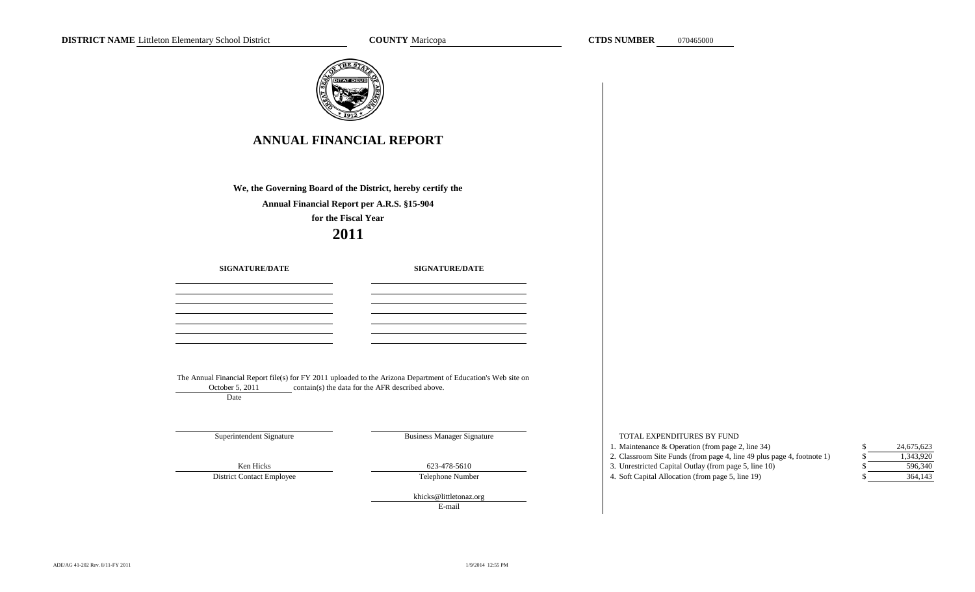TOTAL EXPENDITURES BY FUND

| <b>ANNUAL FINANCIAL REPORT</b>                                                                                                                                                             |                                                                                                                                                                   |  |  |  |  |  |  |  |
|--------------------------------------------------------------------------------------------------------------------------------------------------------------------------------------------|-------------------------------------------------------------------------------------------------------------------------------------------------------------------|--|--|--|--|--|--|--|
|                                                                                                                                                                                            |                                                                                                                                                                   |  |  |  |  |  |  |  |
| We, the Governing Board of the District, hereby certify the<br>Annual Financial Report per A.R.S. §15-904<br>for the Fiscal Year<br>2011<br><b>SIGNATURE/DATE</b><br><b>SIGNATURE/DATE</b> |                                                                                                                                                                   |  |  |  |  |  |  |  |
|                                                                                                                                                                                            |                                                                                                                                                                   |  |  |  |  |  |  |  |
|                                                                                                                                                                                            |                                                                                                                                                                   |  |  |  |  |  |  |  |
|                                                                                                                                                                                            |                                                                                                                                                                   |  |  |  |  |  |  |  |
|                                                                                                                                                                                            |                                                                                                                                                                   |  |  |  |  |  |  |  |
|                                                                                                                                                                                            |                                                                                                                                                                   |  |  |  |  |  |  |  |
|                                                                                                                                                                                            |                                                                                                                                                                   |  |  |  |  |  |  |  |
|                                                                                                                                                                                            |                                                                                                                                                                   |  |  |  |  |  |  |  |
| October 5, 2011<br>Date                                                                                                                                                                    | The Annual Financial Report file(s) for FY 2011 uploaded to the Arizona Department of Education's Web site on<br>contain(s) the data for the AFR described above. |  |  |  |  |  |  |  |
|                                                                                                                                                                                            |                                                                                                                                                                   |  |  |  |  |  |  |  |
|                                                                                                                                                                                            |                                                                                                                                                                   |  |  |  |  |  |  |  |
| Superintendent Signature                                                                                                                                                                   | <b>Business Manager Signature</b>                                                                                                                                 |  |  |  |  |  |  |  |
| Ken Hicks<br><b>District Contact Employee</b>                                                                                                                                              | 623-478-5610<br>Telephone Number                                                                                                                                  |  |  |  |  |  |  |  |

1. Maintenance & Operation (from page 2, line 34) \$ 2. Classroom Site Funds (from page 4, line 49 plus page 4, footnote 1) \$ 3. Unrestricted Capital Outlay (from page 5, line 10) \$ 4. Soft Capital Allocation (from page 5, line 19) \$ 364,143 596,340 1,343,920 24,675,623

E-mail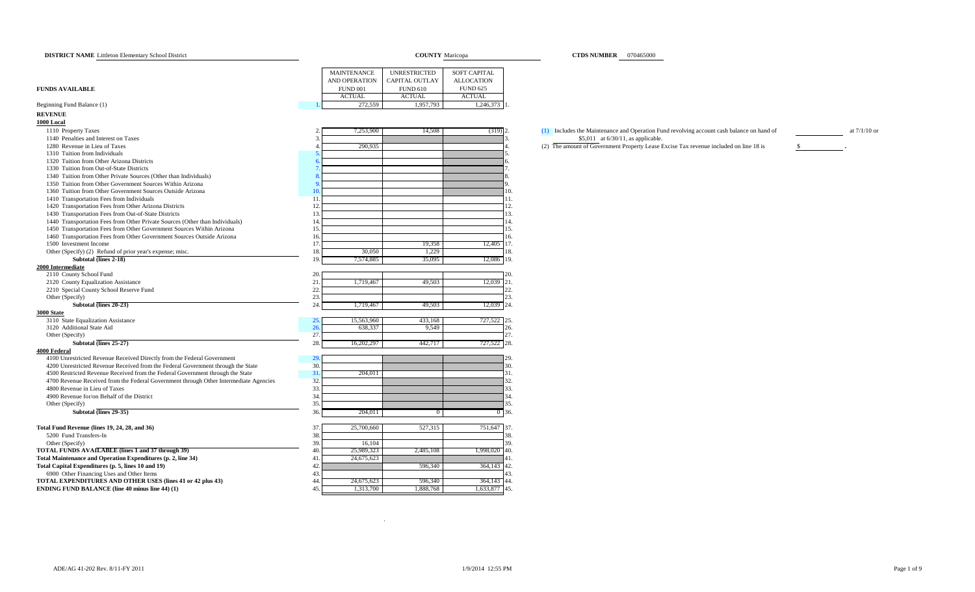| <b>DISTRICT NAME</b> Littleton Elementary School District                                                    |                        | <b>COUNTY</b> Maricopa |                    | <b>CTDS NUMBER</b> 070465000                                                              |                |
|--------------------------------------------------------------------------------------------------------------|------------------------|------------------------|--------------------|-------------------------------------------------------------------------------------------|----------------|
|                                                                                                              |                        |                        |                    |                                                                                           |                |
|                                                                                                              | <b>MAINTENANCE</b>     | <b>UNRESTRICTED</b>    | SOFT CAPITAL       |                                                                                           |                |
|                                                                                                              | AND OPERATION          | <b>CAPITAL OUTLAY</b>  | <b>ALLOCATION</b>  |                                                                                           |                |
| <b>FUNDS AVAILABLE</b>                                                                                       | <b>FUND 001</b>        | <b>FUND 610</b>        | <b>FUND 625</b>    |                                                                                           |                |
|                                                                                                              | <b>ACTUAL</b>          | <b>ACTUAL</b>          | <b>ACTUAL</b>      |                                                                                           |                |
| Beginning Fund Balance (1)                                                                                   | 272,559                | 1,957,793              | 1,246,373 1        |                                                                                           |                |
| <b>REVENUE</b>                                                                                               |                        |                        |                    |                                                                                           |                |
| 1000 Local                                                                                                   |                        |                        |                    |                                                                                           |                |
| 1110 Property Taxes                                                                                          | 7,253,900              | 14,508                 | $(319)$ 2.         | (1) Includes the Maintenance and Operation Fund revolving account cash balance on hand of | at $7/1/10$ or |
| 1140 Penalties and Interest on Taxes                                                                         |                        |                        |                    | \$5,011 at 6/30/11, as applicable.                                                        |                |
| 1280 Revenue in Lieu of Taxes                                                                                | 290,935                |                        |                    | (2) The amount of Government Property Lease Excise Tax revenue included on line 18 is     | $\mathbf{s}$   |
| 1310 Tuition from Individuals                                                                                |                        |                        |                    |                                                                                           |                |
| 1320 Tuition from Other Arizona Districts                                                                    |                        |                        |                    |                                                                                           |                |
| 1330 Tuition from Out-of-State Districts<br>1340 Tuition from Other Private Sources (Other than Individuals) |                        |                        |                    |                                                                                           |                |
| 1350 Tuition from Other Government Sources Within Arizona                                                    |                        |                        |                    |                                                                                           |                |
| 1360 Tuition from Other Government Sources Outside Arizona                                                   | $\overline{10}$        |                        | 10.                |                                                                                           |                |
| 1410 Transportation Fees from Individuals                                                                    | $\overline{11}$        |                        | 11.                |                                                                                           |                |
| 1420 Transportation Fees from Other Arizona Districts                                                        | 12                     |                        | 12.                |                                                                                           |                |
| 1430 Transportation Fees from Out-of-State Districts                                                         | 12                     |                        | 13.                |                                                                                           |                |
| 1440 Transportation Fees from Other Private Sources (Other than Individuals)                                 | 14                     |                        | 14.                |                                                                                           |                |
| 1450 Transportation Fees from Other Government Sources Within Arizona                                        | 15                     |                        | 15.                |                                                                                           |                |
| 1460 Transportation Fees from Other Government Sources Outside Arizona                                       | 16                     |                        | 16.                |                                                                                           |                |
| 1500 Investment Income                                                                                       | 17                     | 19,358                 | 12,405 17.         |                                                                                           |                |
| Other (Specify) (2) Refund of prior year's expense; misc.                                                    | 18<br>30,050           | 1,229                  | 18.                |                                                                                           |                |
| Subtotal (lines 2-18)                                                                                        | 19<br>7,574,885        | 35,095                 | 12,086 19.         |                                                                                           |                |
| 2000 Intermediate                                                                                            |                        |                        |                    |                                                                                           |                |
| 2110 County School Fund                                                                                      | 20                     |                        | 20.                |                                                                                           |                |
| 2120 County Equalization Assistance                                                                          | 21<br>1,719,467        | 49,503                 | $12,039$ 21.       |                                                                                           |                |
| 2210 Special County School Reserve Fund                                                                      | 22.                    |                        | 22.                |                                                                                           |                |
| Other (Specify)                                                                                              | 23                     |                        | 23.                |                                                                                           |                |
| Subtotal (lines 20-23)                                                                                       | 24.<br>1,719,467       | 49,503                 | 12,039 24.         |                                                                                           |                |
| 3000 State                                                                                                   |                        |                        |                    |                                                                                           |                |
| 3110 State Equalization Assistance<br>3120 Additional State Aid                                              | 15,563,960<br>25<br>26 | 433,168                | 727,522 25.<br>26. |                                                                                           |                |
| Other (Specify)                                                                                              | 638,337<br>27.         | 9,549                  | 27.                |                                                                                           |                |
| Subtotal (lines 25-27)                                                                                       | 28.<br>16,202,297      | 442,717                | 727,522 28.        |                                                                                           |                |
| 4000 Federal                                                                                                 |                        |                        |                    |                                                                                           |                |
| 4100 Unrestricted Revenue Received Directly from the Federal Government                                      | 29                     |                        | 29                 |                                                                                           |                |
| 4200 Unrestricted Revenue Received from the Federal Government through the State                             | 30.                    |                        | 30.                |                                                                                           |                |
| 4500 Restricted Revenue Received from the Federal Government through the State                               | 31<br>204,011          |                        | 31.                |                                                                                           |                |
| 4700 Revenue Received from the Federal Government through Other Intermediate Agencies                        | 32                     |                        | 32.                |                                                                                           |                |
| 4800 Revenue in Lieu of Taxes                                                                                | 33                     |                        | 33.                |                                                                                           |                |
| 4900 Revenue for/on Behalf of the District                                                                   | 34                     |                        | 34.                |                                                                                           |                |
| Other (Specify)                                                                                              | 35                     |                        | 35.                |                                                                                           |                |
| Subtotal (lines 29-35)                                                                                       | 36<br>204,011          | $\theta$               | 36.                |                                                                                           |                |
| Total Fund Revenue (lines 19, 24, 28, and 36)                                                                | 25,700,660<br>37       | 527,315                | 751,647 37.        |                                                                                           |                |
| 5200 Fund Transfers-In                                                                                       | 38                     |                        | 38.                |                                                                                           |                |
| Other (Specify)                                                                                              | 39.<br>16,104          |                        | 39.                |                                                                                           |                |
| TOTAL FUNDS AVAILABLE (lines 1 and 37 through 39)                                                            | 40<br>25,989,323       | 2,485,108              | 1,998,020 40.      |                                                                                           |                |
| Total Maintenance and Operation Expenditures (p. 2, line 34)                                                 | 41<br>24,675,623       |                        | 41.                |                                                                                           |                |
| Total Capital Expenditures (p. 5, lines 10 and 19)                                                           | 42                     | 596,340                | 364,143 42.        |                                                                                           |                |
| 6900 Other Financing Uses and Other Items                                                                    | 43                     |                        | 43.                |                                                                                           |                |
| TOTAL EXPENDITURES AND OTHER USES (lines 41 or 42 plus 43)                                                   | 44<br>24,675,623       | 596,340                | 364,143 44.        |                                                                                           |                |
| <b>ENDING FUND BALANCE (line 40 minus line 44) (1)</b>                                                       | 45<br>1,313,700        | 1,888,768              | 1,633,877 45.      |                                                                                           |                |

.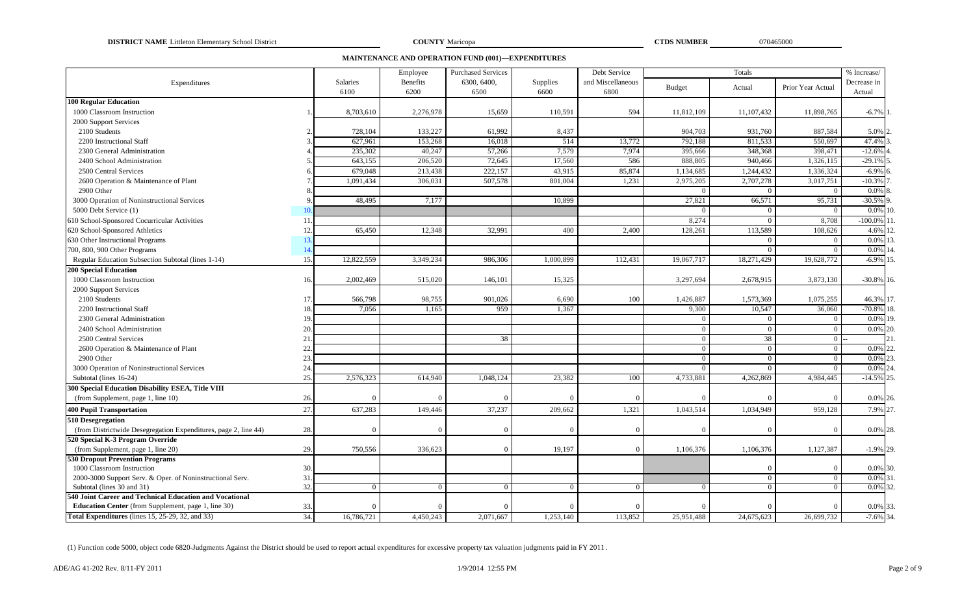**DISTRICT NAME** Littleton Elementary School District **COUNTY** Maricopa **COUNTY** Maricopa **COUNTY COUNTY COUNTY COUNTY COUNTY COUNTY COUNTY COUNTY COUNTY COUNTY COUNTY COUNTY COUNTY COUNTY COUNTY** 

**COUNTY** Maricopa

**MAINTENANCE AND OPERATION FUND (001)—EXPENDITURES**

|                                                                 |             |                 | Employee        | <b>Purchased Services</b> |           | Debt Service      |               | Totals         |                   | % Increase/   |
|-----------------------------------------------------------------|-------------|-----------------|-----------------|---------------------------|-----------|-------------------|---------------|----------------|-------------------|---------------|
| Expenditures                                                    |             | <b>Salaries</b> | <b>Benefits</b> | 6300, 6400.               | Supplies  | and Miscellaneous | <b>Budget</b> | Actual         | Prior Year Actual | Decrease in   |
|                                                                 |             | 6100            | 6200            | 6500                      | 6600      | 6800              |               |                |                   | Actual        |
| <b>100 Regular Education</b>                                    |             |                 |                 |                           |           |                   |               |                |                   |               |
| 1000 Classroom Instruction                                      |             | 8,703,610       | 2,276,978       | 15,659                    | 110,591   | 594               | 11,812,109    | 11,107,432     | 11,898,765        | $-6.7\%$      |
| 2000 Support Services                                           |             |                 |                 |                           |           |                   |               |                |                   |               |
| 2100 Students                                                   |             | 728,104         | 133,227         | 61,992                    | 8,437     |                   | 904,703       | 931,760        | 887,584           | 5.0% 2        |
| 2200 Instructional Staff                                        |             | 627,961         | 153,268         | 16,018                    | 514       | 13,772            | 792,188       | 811,533        | 550,697           | 47.4%         |
| 2300 General Administration                                     |             | 235,302         | 40,247          | 57,266                    | 7,579     | 7,974             | 395,666       | 348,368        | 398,471           | $-12.6%$      |
| 2400 School Administration                                      |             | 643,155         | 206,520         | 72,645                    | 17,560    | 586               | 888,805       | 940,466        | 1,326,115         | $-29.1%$      |
| 2500 Central Services                                           |             | 679,048         | 213,438         | 222,157                   | 43,915    | 85,874            | 1,134,685     | 1,244,432      | 1,336,324         | $-6.9%$       |
| 2600 Operation & Maintenance of Plant                           |             | 1,091,434       | 306,031         | 507,578                   | 801,004   | 1,231             | 2,975,205     | 2,707,278      | 3,017,751         | $-10.3%$      |
| 2900 Other                                                      |             |                 |                 |                           |           |                   | $\Omega$      | $\Omega$       | $\overline{0}$    | 0.0%          |
| 3000 Operation of Noninstructional Services                     | $\mathbf Q$ | 48,495          | 7,177           |                           | 10,899    |                   | 27,821        | 66,571         | 95,731            | $-30.5%$ 9    |
| 5000 Debt Service (1)                                           | 10.         |                 |                 |                           |           |                   |               | $\Omega$       | $\Omega$          | 0.0%          |
| 610 School-Sponsored Cocurricular Activities                    | 11.         |                 |                 |                           |           |                   | 8,274         | $\Omega$       | 8,708             | $-100.0\%$    |
| 620 School-Sponsored Athletics                                  | 12.         | 65,450          | 12,348          | 32,991                    | 400       | 2,400             | 128,261       | 113,589        | 108,626           | 4.6%          |
| 630 Other Instructional Programs                                | 13.         |                 |                 |                           |           |                   |               | $\overline{0}$ | $\overline{0}$    | $0.0\%$       |
| 700, 800, 900 Other Programs                                    | 14.         |                 |                 |                           |           |                   |               | $\theta$       | $\overline{0}$    | 0.0%          |
| Regular Education Subsection Subtotal (lines 1-14)              | 15.         | 12,822,559      | 3,349,234       | 986,306                   | 1,000,899 | 112,431           | 19,067,717    | 18,271,429     | 19,628,772        | $-6.9\%$ 15.  |
| <b>200 Special Education</b>                                    |             |                 |                 |                           |           |                   |               |                |                   |               |
| 1000 Classroom Instruction                                      | 16.         | 2,002,469       | 515,020         | 146,101                   | 15,325    |                   | 3,297,694     | 2,678,915      | 3,873,130         | $-30.8\%$ 16. |
| 2000 Support Services                                           |             |                 |                 |                           |           |                   |               |                |                   |               |
| 2100 Students                                                   | 17.         | 566,798         | 98,755          | 901,026                   | 6,690     | 100               | 1,426,887     | 1,573,369      | 1,075,255         | 46.3% 17.     |
| 2200 Instructional Staff                                        | 18.         | 7,056           | 1,165           | 959                       | 1,367     |                   | 9,300         | 10,547         | 36,060            | $-70.8\%$ 18. |
| 2300 General Administration                                     | 19.         |                 |                 |                           |           |                   | $\Omega$      | $\Omega$       | $\overline{0}$    | 0.0%          |
| 2400 School Administration                                      | 20.         |                 |                 |                           |           |                   | $\Omega$      | $\overline{0}$ | $\mathbf{0}$      | 0.0%          |
| 2500 Central Services                                           | 21.         |                 |                 | 38                        |           |                   | $\Omega$      | 38             | $\bf{0}$          | 2.1           |
| 2600 Operation & Maintenance of Plant                           | 22.         |                 |                 |                           |           |                   | $\theta$      | $\Omega$       | $\overline{0}$    | 0.0%          |
| 2900 Other                                                      | 23.         |                 |                 |                           |           |                   | $\Omega$      | $\overline{0}$ | $\mathbf{0}$      | 0.0%          |
| 3000 Operation of Noninstructional Services                     | 24.         |                 |                 |                           |           |                   | $\Omega$      | $\Omega$       | $\theta$          | 0.0%          |
| Subtotal (lines 16-24)                                          | 25.         | 2,576,323       | 614,940         | 1,048,124                 | 23,382    | 100               | 4,733,881     | 4,262,869      | 4,984,445         | $-14.5%$      |
| 300 Special Education Disability ESEA, Title VIII               |             |                 |                 |                           |           |                   |               |                |                   |               |
| (from Supplement, page 1, line 10)                              | 26.         |                 |                 | ſ                         |           | $\Omega$          | $\Omega$      | $\Omega$       | $\overline{0}$    | $0.0\%$ 26.   |
| <b>400 Pupil Transportation</b>                                 | 27.         | 637,283         | 149,446         | 37,237                    | 209,662   | 1,321             | 1,043,514     | 1,034,949      | 959,128           | 7.9% 27.      |
| 510 Desegregation                                               |             |                 |                 |                           |           |                   |               |                |                   |               |
| (from Districtwide Desegregation Expenditures, page 2, line 44) | 28.         |                 |                 |                           |           | $\Omega$          | $\Omega$      | $\Omega$       | $\theta$          | 0.0% 28.      |
| 520 Special K-3 Program Override                                |             |                 |                 |                           |           |                   |               |                |                   |               |
| (from Supplement, page 1, line 20)                              | 29.         | 750,556         | 336,623         | $\Omega$                  | 19,197    | $\Omega$          | 1,106,376     | 1,106,376      | 1,127,387         | $-1.9\%$ 29.  |
| <b>530 Dropout Prevention Programs</b>                          |             |                 |                 |                           |           |                   |               |                |                   |               |
| 1000 Classroom Instruction                                      | 30.         |                 |                 |                           |           |                   |               | $\Omega$       | $\Omega$          | 0.0% 30.      |
| 2000-3000 Support Serv. & Oper. of Noninstructional Serv.       | 31.         |                 |                 |                           |           |                   |               | $\overline{0}$ | $\overline{0}$    | $0.0\%$ 31    |
| Subtotal (lines 30 and 31)                                      | 32.         |                 |                 | $\Omega$                  | $\Omega$  | $\Omega$          | $\Omega$      | $\Omega$       | $\Omega$          | 0.0%          |
| 540 Joint Career and Technical Education and Vocational         |             |                 |                 |                           |           |                   |               |                |                   |               |
| <b>Education Center</b> (from Supplement, page 1, line 30)      | 33.         |                 |                 | $\Omega$                  | ſ         | $\Omega$          | $\Omega$      | $\Omega$       | $\overline{0}$    | 0.0% 33.      |
| <b>Total Expenditures</b> (lines 15, 25-29, 32, and 33)         | 34.         | 16,786,721      | 4,450,243       | 2,071,667                 | 1.253.140 | 113,852           | 25,951,488    | 24,675,623     | 26,699,732        | $-7.6\%$ 34.  |

(1) Function code 5000, object code 6820-Judgments Against the District should be used to report actual expenditures for excessive property tax valuation judgments paid in FY 2011 .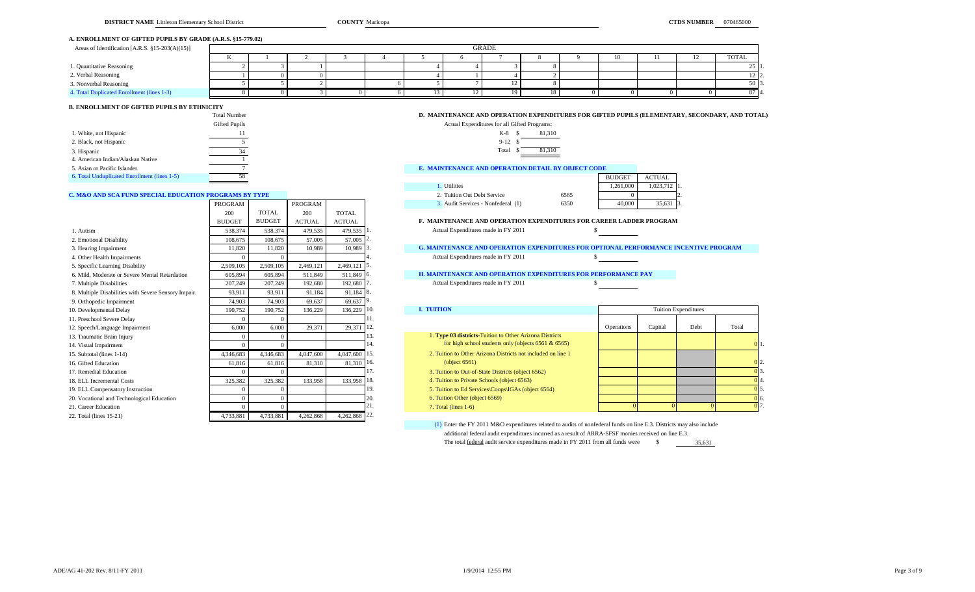#### **A. ENROLLMENT OF GIFTED PUPILS BY GRADE (A.R.S. §15-779.02)**

| Areas of Identification [A.R.S. §15-203(A)(15)] |  |  |  | <b>GRADE</b> |    |  |                |              |
|-------------------------------------------------|--|--|--|--------------|----|--|----------------|--------------|
|                                                 |  |  |  |              |    |  | $\overline{ }$ | <b>TOTAL</b> |
| 1. Quantitative Reasoning                       |  |  |  |              |    |  |                | 25 I         |
| 2. Verbal Reasoning                             |  |  |  |              |    |  |                | 12   2.      |
| 3. Nonverbal Reasoning                          |  |  |  |              |    |  |                | 50 3         |
| 4. Total Duplicated Enrollment (lines 1-3)      |  |  |  |              | 18 |  |                | 87 4.        |

## **B. ENROLLMENT OF GIFTED PUPILS BY ETHNICITY**

|                                              | Total Number  | D. MAINTENANCE AND OPERATION EXPENDE         |
|----------------------------------------------|---------------|----------------------------------------------|
|                                              | Gifted Pupils | Actual Expenditures for all Gifted Programs: |
| 1. White, not Hispanic                       | 11            | 81.310<br>$K-8$ \$                           |
| 2. Black, not Hispanic                       |               | $9-12$                                       |
| 3. Hispanic                                  | 34            | 81.310<br>Total                              |
| 4. American Indian/Alaskan Native            |               |                                              |
| 5. Asian or Pacific Islander                 |               | E. MAINTENANCE AND OPERATION DETAIL E        |
| 6. Total Unduplicated Enrollment (lines 1-5) | 58            |                                              |

# $K-8$  \$ 81,310

| . .   | . . |        |
|-------|-----|--------|
| Total | -8  | 81,310 |
|       |     |        |

#### **E. MAINTENANCE AND OPERATION DETAIL BY OBJECT CODE**

| 6. Total Unduplicated Enrollment (lines 1-5)           |         |         |  |                                   |      | <b>BUDGET</b> | <b>ACTUAL</b> |  |
|--------------------------------------------------------|---------|---------|--|-----------------------------------|------|---------------|---------------|--|
|                                                        |         |         |  | <b>Utilities</b>                  |      | .261.000      | 1,023,712 1.  |  |
| C. M&O AND SCA FUND SPECIAL EDUCATION PROGRAMS BY TYPE |         |         |  | 2. Tuition Out Debt Service       | 656. |               |               |  |
|                                                        | PROGRAM | PROGRAM |  | . Audit Services - Nonfederal (1) | 6350 | 40,000        | 35,631        |  |

#### F. MAINTENANCE AND OPERATION EXPENDITURES FOR CAREER LADDER PROGRAM

#### 3. Hearing Impairment 11,820 11,820 10,989 10,989 3. **G. MAINTENANCE AND OPERATION EXPENDITURES FOR OPTIONAL PERFORMANCE INCENTIVE PROGRAM** Actual Expenditures made in FY 2011 \$

D. MAINTENANCE AND OPERATION EXPENDITURES FOR GIFTED PUPILS (ELEMENTARY, SECONDARY, AND TOTAL)

#### **H. MAINTENANCE AND OPERATION EXPENDITURES FOR PERFORMANCE PAY**

#### 7. Multiple Disabilities 2011 2011 2014 192,990 1. Actual Expenditures made in FY 2011

| $\lambda$ . Orthopedic miplimines          | $1 + 100$ | $1 + 100$ | 0.0001    | 0.0001        |      |                                                              |                   |         |                             |       |       |
|--------------------------------------------|-----------|-----------|-----------|---------------|------|--------------------------------------------------------------|-------------------|---------|-----------------------------|-------|-------|
| 10. Developmental Delay                    | 190.752   | 190,752   | 136,229   | $136.229$ 10. |      | <b>I. TUITION</b>                                            |                   |         | <b>Tuition Expenditures</b> |       |       |
| 11. Preschool Severe Delay                 |           |           |           |               |      |                                                              |                   |         |                             |       |       |
| 12. Speech/Language Impairment             | 6,000     | 6.000     | 29,371    | 29.371 12.    |      |                                                              | <b>Operations</b> | Capital | Debt                        | Total |       |
| 13. Traumatic Brain Injury                 |           |           |           |               | 13.  | 1. Type 03 districts-Tuition to Other Arizona Districts      |                   |         |                             |       |       |
| 14. Visual Impairment                      |           |           |           |               | -14. | for high school students only (objects $6561 & 6565$ )       |                   |         |                             |       | 0 I 1 |
| 15. Subtotal (lines 1-14)                  | 4.346.683 | 4.346.683 | 4,047,600 | 4,047,600 15. |      | 2. Tuition to Other Arizona Districts not included on line 1 |                   |         |                             |       |       |
| 16. Gifted Education                       | 61,816    | 61.816    | 81,310    | 81.310 16.    |      | $\left( \text{object } 6561 \right)$                         |                   |         |                             |       |       |
| 17. Remedial Education                     |           |           |           |               |      | 3. Tuition to Out-of-State Districts (object 6562)           |                   |         |                             |       |       |
| 18. ELL Incremental Costs                  | 325,382   | 325.382   | 133,958   | 133,958 18.   |      | 4. Tuition to Private Schools (object 6563)                  |                   |         |                             |       |       |
| 19. ELL Compensatory Instruction           |           |           |           |               | 19.  | 5. Tuition to Ed Services\Coops\IGAs (object 6564)           |                   |         |                             |       |       |
| 20. Vocational and Technological Education |           |           |           |               |      | 6. Tuition Other (object 6569)                               |                   |         |                             |       | 06.   |
| 21 Caroor Education                        |           |           |           |               |      | $7$ Total (lines $1-6$ )                                     |                   |         |                             |       |       |

(1) Enter the FY 2011 M&O expenditures related to audits of nonfederal funds on line E.3. Districts may also include additional federal audit expenditures incurred as a result of ARRA-SFSF monies received on line E.3. The total <u>federal</u> audit service expenditures made in FY 2011 from all funds were \$ 35,631

|                                                      | 200           | <b>TOTAL</b>  | 200           | <b>TOTAL</b>  |                                                                                             |            |          |                             |                |
|------------------------------------------------------|---------------|---------------|---------------|---------------|---------------------------------------------------------------------------------------------|------------|----------|-----------------------------|----------------|
|                                                      | <b>BUDGET</b> | <b>BUDGET</b> | <b>ACTUAL</b> | <b>ACTUAL</b> | <b>F. MAINTENANCE AND OPERATION EXPENDITURES FOR CAREER LADDER PROGRAM</b>                  |            |          |                             |                |
| l. Autism                                            | 538,374       | 538,374       | 479.535       | 479,535       | Actual Expenditures made in FY 2011                                                         |            |          |                             |                |
| 2. Emotional Disability                              | 108,675       | 108,675       | 57,005        | 57,005        |                                                                                             |            |          |                             |                |
| 3. Hearing Impairment                                | 11.820        | 11,820        | 10.989        | 10,989        | <b>G. MAINTENANCE AND OPERATION EXPENDITURES FOR OPTIONAL PERFORMANCE INCENTIVE PROGRAM</b> |            |          |                             |                |
| 4. Other Health Impairments                          |               |               |               |               | Actual Expenditures made in FY 2011                                                         |            |          |                             |                |
| 5. Specific Learning Disability                      | 2.509.105     | 2,509,105     | 2,469,121     | 2,469,121     |                                                                                             |            |          |                             |                |
| 6. Mild. Moderate or Severe Mental Retardation       | 605.894       | 605,894       | 511.849       | 511,849 6.    | <b>H. MAINTENANCE AND OPERATION EXPENDITURES FOR PERFORMANCE PAY</b>                        |            |          |                             |                |
| 7. Multiple Disabilities                             | 207,249       | 207,249       | 192,680       | 192,680       | Actual Expenditures made in FY 2011                                                         |            |          |                             |                |
| 8. Multiple Disabilities with Severe Sensory Impair. | 93.911        | 93,911        | 91,184        | 91,184        |                                                                                             |            |          |                             |                |
| 9. Orthopedic Impairment                             | 74,903        | 74,903        | 69,637        | 69,637 9      |                                                                                             |            |          |                             |                |
| 10. Developmental Delay                              | 190,752       | 190,752       | 136,229       | 136,229 10.   | <b>I. TUITION</b>                                                                           |            |          | <b>Tuition Expenditures</b> |                |
| 11. Preschool Severe Delay                           |               |               |               |               |                                                                                             |            |          |                             |                |
| 12. Speech/Language Impairment                       | 6,000         | 6,000         | 29,371        | 29,371        | 12.                                                                                         | Operations | Capital  | Debt                        | Total          |
| 13. Traumatic Brain Injury                           |               | $\Omega$      |               |               | 1. Type 03 districts-Tuition to Other Arizona Districts                                     |            |          |                             |                |
| 14. Visual Impairment                                |               | $\Omega$      |               |               | for high school students only (objects $6561 & 6565$ )                                      |            |          |                             |                |
| 15. Subtotal (lines 1-14)                            | 4,346,683     | 4,346,683     | 4,047,600     | 4,047,600     | 2. Tuition to Other Arizona Districts not included on line 1<br>15.                         |            |          |                             |                |
| 16. Gifted Education                                 | 61.816        | 61,816        | 81,310        | 81,310        | (object 6561)<br>16.                                                                        |            |          |                             |                |
| 17. Remedial Education                               |               |               |               |               | 3. Tuition to Out-of-State Districts (object 6562)                                          |            |          |                             |                |
| 18. ELL Incremental Costs                            | 325,382       | 325,382       | 133,958       | 133,958 18.   | 4. Tuition to Private Schools (object 6563)                                                 |            |          |                             |                |
| 19. ELL Compensatory Instruction                     |               |               |               |               | 19.<br>5. Tuition to Ed Services\Coops\IGAs (object 6564)                                   |            |          |                             |                |
| 20. Vocational and Technological Education           |               | $\Omega$      |               |               | 6. Tuition Other (object 6569)<br>20.                                                       |            |          |                             | 0 <sub>6</sub> |
| 21. Career Education                                 |               | $\Omega$      |               |               | 21.<br>$7. Total (lines 1-6)$                                                               |            | $\Omega$ |                             | 0 <sup>1</sup> |
| 22. Total (lines 15-21)                              | 4,733,881     | 4,733,881     | 4,262,868     | 4,262,868 22. |                                                                                             |            |          |                             |                |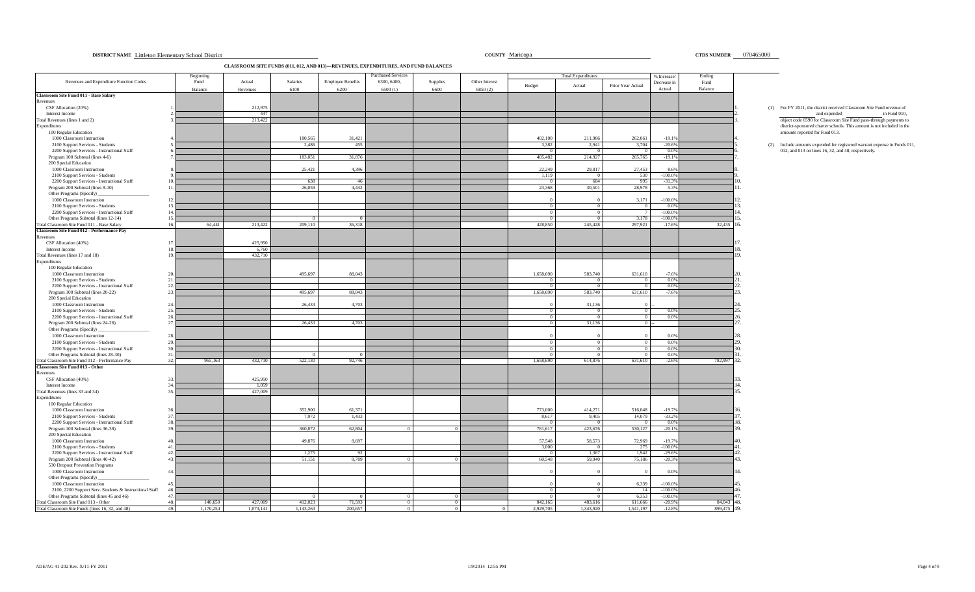#### ADE/AG 41-202 Rev. X/11-FY 2011 12:55 PM Page 4 of 9

**DISTRICT NAME Littleton Elementary School District 6000 and 2000 and 2000 and 2000 and 2000 and 2000 and 2000 and 2000 and 2000 and 2000 and 2000 and 2000 and 2000 and 2000 and 2000 and 2000 and 2000 and 2000 and 2000 and** 

**CLASSROOM SITE FUNDS (011, 012, AND 013)—REVENUES, EXPENDITURES, AND FUND BALANCES**

|                                                                                             | Beginning |                  |           |                          | Purchased Services |            |                |           | <b>Total Expenditures</b> |                   | % Increase            | Ending      |                                                                          |
|---------------------------------------------------------------------------------------------|-----------|------------------|-----------|--------------------------|--------------------|------------|----------------|-----------|---------------------------|-------------------|-----------------------|-------------|--------------------------------------------------------------------------|
| Revenues and Expenditure Function Codes                                                     | Fund      | Actual           | Salaries  | <b>Employee Benefits</b> | 6300, 6400,        | Supplies   | Other Interest | Budget    | Actual                    | Prior Year Actual | Decrease in           | Fund        |                                                                          |
|                                                                                             | Balance   | Revenues         | 6100      | 6200                     | 6500(1)            | 6600       | 6850(2)        |           |                           |                   | Actual                | Balance     |                                                                          |
| <b>Classroom Site Fund 011 - Base Salary</b>                                                |           |                  |           |                          |                    |            |                |           |                           |                   |                       |             |                                                                          |
| Revenues<br>CSF Allocation (20%)                                                            |           | 212,975          |           |                          |                    |            |                |           |                           |                   |                       |             | (1) For FY 2011, the district received Classroom Site Fund revenue of    |
| Interest Income                                                                             |           | 447              |           |                          |                    |            |                |           |                           |                   |                       |             | and expended<br>in Fund 010,                                             |
| Total Revenues (lines 1 and 2)                                                              |           | 213,422          |           |                          |                    |            |                |           |                           |                   |                       |             | object code 6590 for Classroom Site Fund pass-through payments to        |
| Expenditures                                                                                |           |                  |           |                          |                    |            |                |           |                           |                   |                       |             | district-sponsored charter schools. This amount is not included in the   |
| 100 Regular Education                                                                       |           |                  |           |                          |                    |            |                |           |                           |                   |                       |             | amounts reported for Fund 013.                                           |
| 1000 Classroom Instruction                                                                  |           |                  | 180,565   | 31,421                   |                    |            |                | 402,100   | 211,986                   | 262,061           | $-19.1%$              |             |                                                                          |
| 2100 Support Services - Students                                                            |           |                  | 2,486     | 455                      |                    |            |                | 3,382     | 2,941                     | 3,704             | $-20.6%$              |             | (2) Include amounts expended for registered warrant expense in Funds 011 |
| 2200 Support Services - Instructional Staff<br>Program 100 Subtotal (lines 4-6)             |           |                  | 183,051   | 31,876                   |                    |            |                | 405,482   | $\Omega$<br>214,927       | - 0<br>265,765    | 0.0%<br>$-19.1%$      |             | 012, and 013 on lines 16, 32, and 48, respectively.                      |
| 200 Special Education                                                                       |           |                  |           |                          |                    |            |                |           |                           |                   |                       |             |                                                                          |
| 1000 Classroom Instruction                                                                  |           |                  | 25,421    | 4,396                    |                    |            |                | 22,249    | 29,817                    | 27,453            | 8.6%                  |             |                                                                          |
| 2100 Support Services - Students                                                            |           |                  |           |                          |                    |            |                | 1,119     | $\overline{0}$            | 530               | $-100.0%$             |             |                                                                          |
| 2200 Support Services - Instructional Staff                                                 |           |                  | 638       | -46                      |                    |            |                |           | 684                       | 995               | $-31.3%$              |             |                                                                          |
| Program 200 Subtotal (lines 8-10)<br>11                                                     |           |                  | 26,059    | 4,442                    |                    |            |                | 23,368    | 30,501                    | 28,978            | 5.3%                  |             |                                                                          |
| Other Programs (Specify)                                                                    |           |                  |           |                          |                    |            |                |           |                           |                   |                       |             |                                                                          |
| 1000 Classroom Instruction<br>12                                                            |           |                  |           |                          |                    |            |                |           |                           | 3,171             | $-100.0%$             |             |                                                                          |
| 2100 Support Services - Students<br>13<br>14                                                |           |                  |           |                          |                    |            |                | $\Omega$  | $\Omega$<br>$\Omega$      | $\Omega$          | 0.0%<br>$-100.0%$     |             |                                                                          |
| 2200 Support Services - Instructional Staff<br>Other Programs Subtotal (lines 12-14)<br>15  |           |                  |           |                          |                    |            |                |           |                           | 3,178             | $-100.09$             |             |                                                                          |
| Total Classroom Site Fund 011 - Base Salary<br>16                                           | 64,441    | 213,422          | 209,110   | 36,318                   |                    |            |                | 428,850   | 245,428                   | 297,921           | $-17.6%$              | 32,435      |                                                                          |
| <b>Classroom Site Fund 012 - Performance Pay</b>                                            |           |                  |           |                          |                    |            |                |           |                           |                   |                       |             |                                                                          |
| Revenues                                                                                    |           |                  |           |                          |                    |            |                |           |                           |                   |                       |             |                                                                          |
| CSF Allocation (40%)<br>17                                                                  |           | 425,950          |           |                          |                    |            |                |           |                           |                   |                       |             |                                                                          |
| Interest Income<br>18                                                                       |           | 6,760            |           |                          |                    |            |                |           |                           |                   |                       |             |                                                                          |
| Total Revenues (lines 17 and 18)<br>1 <sup>°</sup>                                          |           | 432,710          |           |                          |                    |            |                |           |                           |                   |                       |             |                                                                          |
| Expenditures                                                                                |           |                  |           |                          |                    |            |                |           |                           |                   |                       |             |                                                                          |
| 100 Regular Education<br>1000 Classroom Instruction                                         |           |                  | 495,697   | 88,043                   |                    |            |                | 1,658,690 | 583,740                   | 631,610           | $-7.6%$               |             |                                                                          |
| 2100 Support Services - Students<br>21                                                      |           |                  |           |                          |                    |            |                |           |                           | $\overline{0}$    | 0.0%                  |             |                                                                          |
| 2200 Support Services - Instructional Staff<br>22                                           |           |                  |           |                          |                    |            |                |           | $\Omega$                  | $\Omega$          | 0.0%                  |             |                                                                          |
| Program 100 Subtotal (lines 20-22)<br>23.                                                   |           |                  | 495,697   | 88,043                   |                    |            |                | 1,658,690 | 583,740                   | 631,610           | $-7.6%$               |             |                                                                          |
| 200 Special Education                                                                       |           |                  |           |                          |                    |            |                |           |                           |                   |                       |             |                                                                          |
| 1000 Classroom Instruction<br>24                                                            |           |                  | 26,433    | 4,703                    |                    |            |                |           | 31,136                    |                   |                       |             |                                                                          |
| 2100 Support Services - Students<br>25.                                                     |           |                  |           |                          |                    |            |                |           | $\Omega$                  | $\overline{0}$    | 0.0%                  |             |                                                                          |
| 2200 Support Services - Instructional Staff<br>26.                                          |           |                  |           |                          |                    |            |                |           | $\overline{0}$            | $\overline{0}$    | 0.0%                  |             |                                                                          |
| Program 200 Subtotal (lines 24-26)<br>27.                                                   |           |                  | 26,433    | 4,703                    |                    |            |                |           | 31,136                    | 0                 |                       |             |                                                                          |
| Other Programs (Specify)<br>1000 Classroom Instruction<br>28                                |           |                  |           |                          |                    |            |                |           |                           |                   | 0.0%                  |             |                                                                          |
| 2100 Support Services - Students<br>29                                                      |           |                  |           |                          |                    |            |                |           | $\overline{0}$            | $\mathbf{0}$      | 0.0%                  |             |                                                                          |
| 2200 Support Services - Instructional Staff<br>3 <sup>1</sup>                               |           |                  |           |                          |                    |            |                |           | $\Omega$                  | $\Omega$          | 0.0%                  |             |                                                                          |
| Other Programs Subtotal (lines 28-30)<br>31.                                                |           |                  |           |                          |                    |            |                |           | $\Omega$                  | $^{\circ}$        | 0.0%                  |             |                                                                          |
| Total Classroom Site Fund 012 - Performance Pay<br>32.                                      | 965,163   | 432,710          | 522,130   | 92,746                   |                    |            |                | 1.658.690 | 614,876                   | 631,610           | $-2.6%$               | 782,997 32. |                                                                          |
| Classroom Site Fund 013 - Other                                                             |           |                  |           |                          |                    |            |                |           |                           |                   |                       |             |                                                                          |
| Revenues                                                                                    |           |                  |           |                          |                    |            |                |           |                           |                   |                       |             |                                                                          |
| CSF Allocation (40%)<br>33                                                                  |           | 425,950          |           |                          |                    |            |                |           |                           |                   |                       |             |                                                                          |
| Interest Income<br>3 <sub>A</sub><br>35                                                     |           | 1.059<br>427,009 |           |                          |                    |            |                |           |                           |                   |                       |             |                                                                          |
| Total Revenues (lines 33 and 34)<br>Expenditures                                            |           |                  |           |                          |                    |            |                |           |                           |                   |                       |             |                                                                          |
| 100 Regular Education                                                                       |           |                  |           |                          |                    |            |                |           |                           |                   |                       |             |                                                                          |
| 1000 Classroom Instruction                                                                  |           |                  | 352,900   | 61.371                   |                    |            |                | 773,000   | 414,271                   | 516,048           | $-19.7%$              |             |                                                                          |
| 2100 Support Services - Students<br>37                                                      |           |                  | 7,972     | 1,433                    |                    |            |                | 8,617     | 9,405                     | 14,079            | $-33.2%$              |             |                                                                          |
| 2200 Support Services - Instructional Staff<br>38                                           |           |                  |           |                          |                    |            |                | - 0       | $\Omega$                  | $^{\circ}$        | 0.0%                  |             |                                                                          |
| Program 100 Subtotal (lines 36-38)<br>3 <sup>c</sup>                                        |           |                  | 360,872   | 62,804                   | $\Omega$           |            |                | 781,617   | 423,676                   | 530,127           | $-20.1%$              |             |                                                                          |
| 200 Special Education                                                                       |           |                  |           |                          |                    |            |                |           |                           |                   |                       |             |                                                                          |
| 1000 Classroom Instruction                                                                  |           |                  | 49,876    | 8,697                    |                    |            |                | 57,548    | 58,573                    | 72,969            | $-19.7%$              |             |                                                                          |
| 2100 Support Services - Students<br>41<br>2200 Support Services - Instructional Staff<br>42 |           |                  | 1.275     | 92                       |                    |            |                | 3,000     | $\Omega$<br>1.367         | 275<br>1.942      | $-100.0%$<br>$-29.6%$ |             |                                                                          |
| Program 200 Subtotal (lines 40-42)<br>43                                                    |           |                  | 51,151    | 8.789                    | $\Omega$           | $\Omega$   |                | 60.548    | 59,940                    | 75,186            | $-20.3%$              |             |                                                                          |
| 530 Dropout Prevention Programs                                                             |           |                  |           |                          |                    |            |                |           |                           |                   |                       |             |                                                                          |
| 1000 Classroom Instruction<br>$\overline{44}$                                               |           |                  |           |                          |                    |            |                |           |                           |                   | 0.0%                  |             |                                                                          |
| Other Programs (Specify)                                                                    |           |                  |           |                          |                    |            |                |           |                           |                   |                       |             |                                                                          |
| 1000 Classroom Instruction                                                                  |           |                  |           |                          |                    |            |                |           |                           | 6.339             | $-100.0%$             |             |                                                                          |
| 2100, 2200 Support Serv. Students & Instructional Staff                                     |           |                  |           |                          |                    |            |                | $\Omega$  | $\overline{0}$            | 14                | $-100.0%$             |             |                                                                          |
| Other Programs Subtotal (lines 45 and 46)<br>47                                             |           |                  |           | $\Omega$                 | $\Omega$           | $^{\circ}$ |                | $\Omega$  | $\Omega$                  | 6,353             | $-100.0%$             |             |                                                                          |
| Total Classroom Site Fund 013 - Other<br>48.                                                | 140,650   | 427,009          | 412,023   | 71,593                   | $\Omega$           |            |                | 842,165   | 483,616                   | 611,666           | $-20.9%$              | 84,043 48.  |                                                                          |
| Total Classroom Site Funds (lines 16, 32, and 48)<br>49.                                    | 1,170,254 | 1,073,141        | 1,143,263 | 200,657                  | $\Omega$           |            |                | 2,929,705 | 1,343,920                 | 1,541,197         | $-12.8%$              | 899,475 49. |                                                                          |

# (1) For FY 2011, the district received Classroom Site Fund revenue of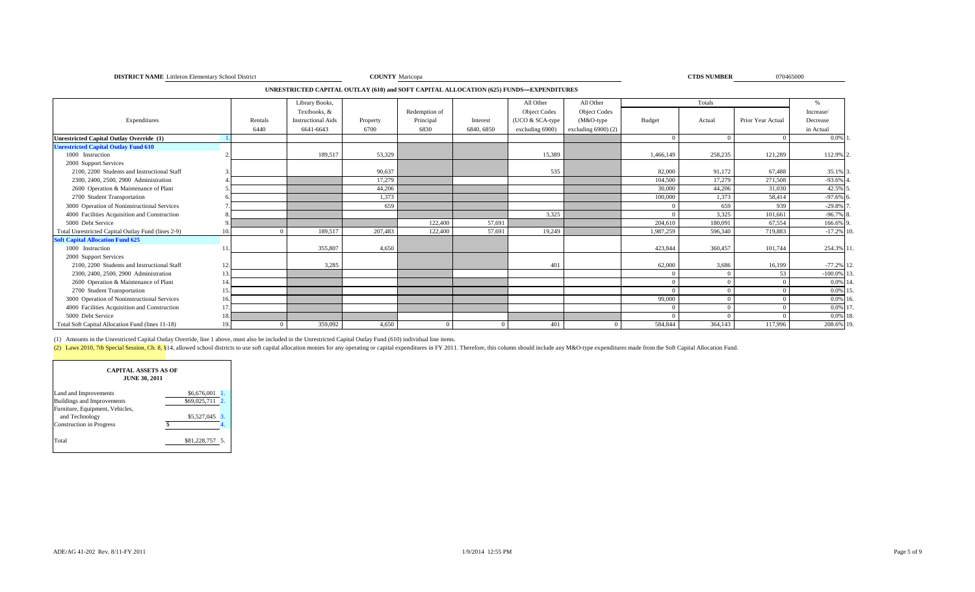| <b>DISTRICT NAME</b> Littleton Elementary School District | COUNTY Maricopa | <b>CTDS NUMBER</b> |
|-----------------------------------------------------------|-----------------|--------------------|
|                                                           |                 |                    |

```
COUNTY Maricopa 070465000 070465000 070465000 070465000 070465000 070465000 070465000 070465000 070465000 070465000 070465000 070465000 070465000 070465000 070465000 070465000 070465000 070465000 070465000 070465000 0704
```
**UNRESTRICTED CAPITAL OUTLAY (610) and SOFT CAPITAL ALLOCATION (625) FUNDS—EXPENDITURES**

|                                                    |     |         | Library Books,            |          |               |            | All Other           | All Other           |           | Totals   |                   |              |  |
|----------------------------------------------------|-----|---------|---------------------------|----------|---------------|------------|---------------------|---------------------|-----------|----------|-------------------|--------------|--|
|                                                    |     |         | Textbooks, &              |          | Redemption of |            | <b>Object Codes</b> | <b>Object Codes</b> |           |          |                   | Increase/    |  |
| Expenditures                                       |     | Rentals | <b>Instructional Aids</b> | Property | Principal     | Interest   | (UCO & SCA-type     | (M&O-type           | Budget    | Actual   | Prior Year Actual | Decrease     |  |
|                                                    |     | 6440    | 6641-6643                 | 6700     | 6830          | 6840, 6850 | excluding 6900)     | excluding $6900(2)$ |           |          |                   | in Actual    |  |
| <b>Unrestricted Capital Outlay Override (1)</b>    |     |         |                           |          |               |            |                     |                     |           | $\Omega$ | $\Omega$          | $0.0\%$      |  |
| <b>Unrestricted Capital Outlay Fund 610</b>        |     |         |                           |          |               |            |                     |                     |           |          |                   |              |  |
| 1000 Instruction                                   |     |         | 189,517                   | 53,329   |               |            | 15,389              |                     | 1,466,149 | 258,235  | 121,289           | 112.9% 2.    |  |
| 2000 Support Services                              |     |         |                           |          |               |            |                     |                     |           |          |                   |              |  |
| 2100, 2200 Students and Instructional Staff        |     |         |                           | 90,637   |               |            | 535                 |                     | 82,000    | 91,172   | 67,488            | 35.1% 3.     |  |
| 2300, 2400, 2500, 2900 Administration              |     |         |                           | 17,279   |               |            |                     |                     | 104,500   | 17.279   | 271,508           | $-93.6\%$    |  |
| 2600 Operation & Maintenance of Plant              |     |         |                           | 44,206   |               |            |                     |                     | 30,000    | 44,206   | 31,030            | 42.5% 5      |  |
| 2700 Student Transportation                        |     |         |                           | 1,373    |               |            |                     |                     | 100,000   | 1,373    | 58,414            | $-97.6%$     |  |
| 3000 Operation of Noninstructional Services        |     |         |                           | 659      |               |            |                     |                     |           | 659      | 939               | $-29.8\%$    |  |
| 4000 Facilities Acquisition and Construction       |     |         |                           |          |               |            | 3,325               |                     |           | 3,325    | 101,661           | $-96.7\%$ 8. |  |
| 5000 Debt Service                                  |     |         |                           |          | 122,400       | 57,691     |                     |                     | 204,610   | 180,091  | 67,554            | 166.6% 9     |  |
| Total Unrestricted Capital Outlay Fund (lines 2-9) | 10. |         | 189,517                   | 207,483  | 122,400       | 57,691     | 19,249              |                     | 1,987,259 | 596,340  | 719.883           | $-17.2\%$ 10 |  |
| <b>Soft Capital Allocation Fund 625</b>            |     |         |                           |          |               |            |                     |                     |           |          |                   |              |  |
| 1000 Instruction                                   |     |         | 355,807                   | 4,650    |               |            |                     |                     | 423,844   | 360,457  | 101,744           | 254.3% 11.   |  |
| 2000 Support Services                              |     |         |                           |          |               |            |                     |                     |           |          |                   |              |  |
| 2100, 2200 Students and Instructional Staff        | 12. |         | 3,285                     |          |               |            | 401                 |                     | 62,000    | 3,686    | 16,199            | $-77.2\%$ 12 |  |
| 2300, 2400, 2500, 2900 Administration              | 13  |         |                           |          |               |            |                     |                     |           | $\Omega$ | 53                | $-100.0\%$   |  |
| 2600 Operation & Maintenance of Plant              | 14  |         |                           |          |               |            |                     |                     | $\Omega$  | $\Omega$ | $\Omega$          | $0.0\%$ 1    |  |
| 2700 Student Transportation                        | 15. |         |                           |          |               |            |                     |                     |           | $\Omega$ |                   | $0.0\%$ 1    |  |
| 3000 Operation of Noninstructional Services        | 16. |         |                           |          |               |            |                     |                     | 99,000    |          |                   | $0.0\%$ 1    |  |
| 4000 Facilities Acquisition and Construction       | 17  |         |                           |          |               |            |                     |                     |           | $\Omega$ | $\Omega$          | $0.0\%$ 1    |  |
| 5000 Debt Service                                  | 18. |         |                           |          |               |            |                     |                     |           |          |                   | 0.0% 18      |  |
| Total Soft Capital Allocation Fund (lines 11-18)   | 19. |         | 359,092                   | 4,650    |               | $\Omega$   | 401                 | $^{\circ}$          | 584,844   | 364,143  | 117,996           | 208.6% 19.   |  |

(1) Amounts in the Unrestricted Capital Outlay Override, line 1 above, must also be included in the Unrestricted Capital Outlay Fund (610) individual line items.

(2) Laws 2010, 7th Special Session, Ch. 8, §14, allowed school districts to use soft capital allocation monies for any operating or capital expenditures in FY 2011. Therefore, this column should include any M&O-type expend

| <b>CAPITAL ASSETS AS OF</b><br><b>JUNE 30, 2011</b> |                 |
|-----------------------------------------------------|-----------------|
| Land and Improvements                               | \$6,676,001     |
| Buildings and Improvements                          | \$69,025,711 2. |
| Furniture, Equipment, Vehicles,                     |                 |
| and Technology                                      | \$5,527,045 3.  |
| <b>Construction</b> in Progress                     |                 |
| Total                                               | \$81,228,757 5. |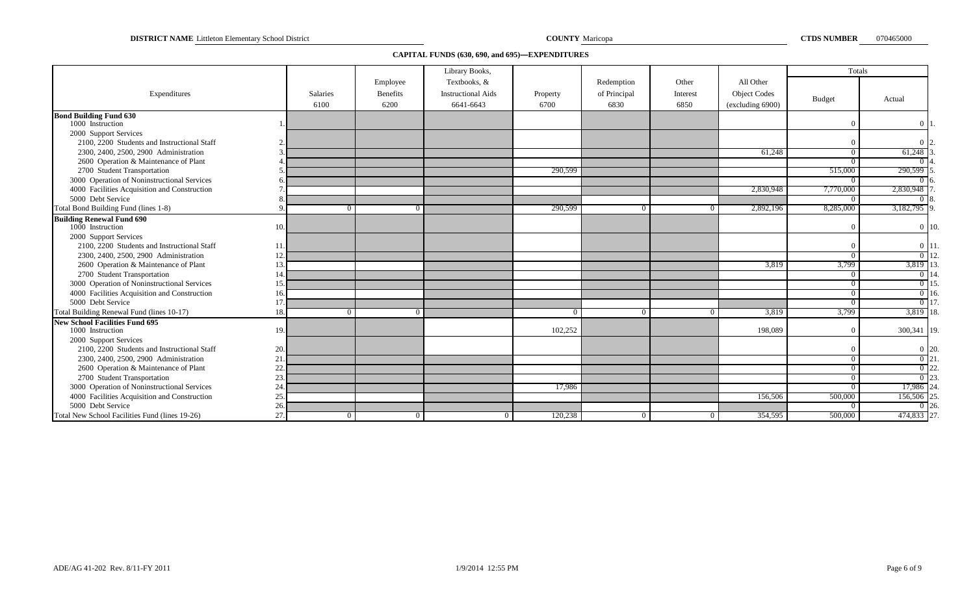**DISTRICT NAME** Littleton Elementary School District **COUNTY COUNTY** Maricopa **COUNTY COUNTY COUNTY COUNTY COUNTY COUNTY COUNTY COUNTY COUNTY COUNTY COUNTY COUNTY COUNTY COUNTY COUNTY COUNTY** 

### **CAPITAL FUNDS (630, 690, and 695)—EXPENDITURES**

|                                                |     |                |                             | Library Books,                            |          |                            |                   |                                  | Totals     |                   |
|------------------------------------------------|-----|----------------|-----------------------------|-------------------------------------------|----------|----------------------------|-------------------|----------------------------------|------------|-------------------|
| Expenditures                                   |     | Salaries       | Employee<br><b>Benefits</b> | Textbooks, &<br><b>Instructional Aids</b> | Property | Redemption<br>of Principal | Other<br>Interest | All Other<br><b>Object Codes</b> |            |                   |
|                                                |     | 6100           | 6200                        | 6641-6643                                 | 6700     | 6830                       | 6850              | (excluding 6900)                 | Budget     | Actual            |
| <b>Bond Building Fund 630</b>                  |     |                |                             |                                           |          |                            |                   |                                  |            |                   |
| 1000 Instruction                               |     |                |                             |                                           |          |                            |                   |                                  |            | 0 11              |
| 2000 Support Services                          |     |                |                             |                                           |          |                            |                   |                                  |            |                   |
| 2100, 2200 Students and Instructional Staff    |     |                |                             |                                           |          |                            |                   |                                  |            |                   |
| 2300, 2400, 2500, 2900 Administration          |     |                |                             |                                           |          |                            |                   | 61,248                           | $^{\circ}$ | 61,248            |
| 2600 Operation & Maintenance of Plant          |     |                |                             |                                           |          |                            |                   |                                  |            |                   |
| 2700 Student Transportation                    |     |                |                             |                                           | 290,599  |                            |                   |                                  | 515,000    | 290,599           |
| 3000 Operation of Noninstructional Services    |     |                |                             |                                           |          |                            |                   |                                  |            |                   |
| 4000 Facilities Acquisition and Construction   |     |                |                             |                                           |          |                            |                   | 2,830,948                        | 7,770,000  | 2,830,948         |
| 5000 Debt Service                              |     |                |                             |                                           |          |                            |                   |                                  |            |                   |
| Total Bond Building Fund (lines 1-8)           |     |                |                             |                                           | 290,599  | $\Omega$                   | $\Omega$          | 2,892,196                        | 8,285,000  | 3,182,795         |
| <b>Building Renewal Fund 690</b>               |     |                |                             |                                           |          |                            |                   |                                  |            |                   |
| 1000 Instruction                               | 10. |                |                             |                                           |          |                            |                   |                                  |            | $0\vert 10$       |
| 2000 Support Services                          |     |                |                             |                                           |          |                            |                   |                                  |            |                   |
| 2100, 2200 Students and Instructional Staff    |     |                |                             |                                           |          |                            |                   |                                  |            | $0 \; 11.$        |
| 2300, 2400, 2500, 2900 Administration          |     |                |                             |                                           |          |                            |                   |                                  |            | $0 \overline{12}$ |
| 2600 Operation & Maintenance of Plant          |     |                |                             |                                           |          |                            |                   | 3,819                            | 3,799      | 3,819 13          |
| 2700 Student Transportation                    |     |                |                             |                                           |          |                            |                   |                                  | $^{\circ}$ |                   |
| 3000 Operation of Noninstructional Services    |     |                |                             |                                           |          |                            |                   |                                  |            | $0 \overline{15}$ |
| 4000 Facilities Acquisition and Construction   |     |                |                             |                                           |          |                            |                   |                                  |            | $0$ 16.           |
| 5000 Debt Service                              | 17  |                |                             |                                           |          |                            |                   |                                  |            | 0117              |
| Total Building Renewal Fund (lines 10-17)      | 18  |                |                             |                                           | $\Omega$ | $\Omega$                   | $\Omega$          | 3,819                            | 3,799      | 3,819             |
| <b>New School Facilities Fund 695</b>          |     |                |                             |                                           |          |                            |                   |                                  |            |                   |
| 1000 Instruction                               | 19. |                |                             |                                           | 102,252  |                            |                   | 198,089                          |            | 300,341 19.       |
| 2000 Support Services                          |     |                |                             |                                           |          |                            |                   |                                  |            |                   |
| 2100, 2200 Students and Instructional Staff    | 20. |                |                             |                                           |          |                            |                   |                                  |            | $0\vert 20$       |
| 2300, 2400, 2500, 2900 Administration          | 21  |                |                             |                                           |          |                            |                   |                                  |            |                   |
| 2600 Operation & Maintenance of Plant          | 22  |                |                             |                                           |          |                            |                   |                                  |            | 0122              |
| 2700 Student Transportation                    | 23  |                |                             |                                           |          |                            |                   |                                  |            |                   |
| 3000 Operation of Noninstructional Services    | 24  |                |                             |                                           | 17,986   |                            |                   |                                  |            | 17,986 24         |
| 4000 Facilities Acquisition and Construction   | 25  |                |                             |                                           |          |                            |                   | 156,506                          | 500,000    | 156,506           |
| 5000 Debt Service                              | 26  |                |                             |                                           |          |                            |                   |                                  |            |                   |
| Total New School Facilities Fund (lines 19-26) | 27  | $\overline{0}$ | - 0                         | $\bf{0}$                                  | 120,238  | $\overline{0}$             | 0 <sup>1</sup>    | 354,595                          | 500,000    | 474,833 27        |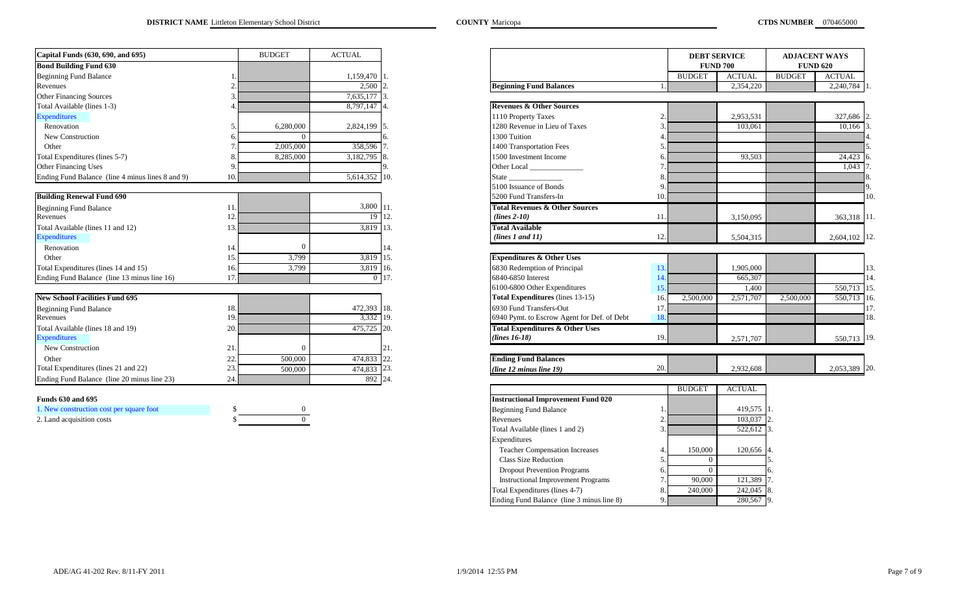| Capital Funds (630, 690, and 695)                |     | <b>BUDGET</b> | <b>ACTUAL</b>  |                                             |
|--------------------------------------------------|-----|---------------|----------------|---------------------------------------------|
| <b>Bond Building Fund 630</b>                    |     |               |                |                                             |
| <b>Beginning Fund Balance</b>                    |     |               | 1,159,470 1.   |                                             |
| Revenues                                         | 2.  |               | $2,500$ 2.     | <b>Beginning Fund Balances</b>              |
| <b>Other Financing Sources</b>                   | 3   |               | 7,635,177 3.   |                                             |
| Total Available (lines 1-3)                      | 4   |               | 8,797,147 4.   | <b>Revenues &amp; Other Sources</b>         |
| <b>Expenditures</b>                              |     |               |                | 1110 Property Taxes                         |
| Renovation                                       | 5.  | 6,280,000     | 2,824,199 5.   | 1280 Revenue in Lieu of Taxes               |
| New Construction                                 | 6.  | $\Omega$      |                | 1300 Tuition                                |
| Other                                            |     | 2,005,000     | 358,596        | 1400 Transportation Fees                    |
| Total Expenditures (lines 5-7)                   | 8   | 8,285,000     | 3,182,795 8.   | 1500 Investment Income                      |
| <b>Other Financing Uses</b>                      | 9   |               |                | Other Local                                 |
| Ending Fund Balance (line 4 minus lines 8 and 9) | 10  |               | 5,614,352 10.  |                                             |
|                                                  |     |               |                | 5100 Issuance of Bonds                      |
| <b>Building Renewal Fund 690</b>                 |     |               |                | 5200 Fund Transfers-In                      |
| <b>Beginning Fund Balance</b>                    | 11  |               | 3,800 11.      | <b>Total Revenues &amp; Other Sources</b>   |
| Revenues                                         | 12  |               | 19             | 112.<br>$(lines 2-10)$                      |
| Total Available (lines 11 and 12)                | 13. |               | 3,819 13.      | <b>Total Available</b>                      |
| <b>Expenditures</b>                              |     |               |                | (lines 1 and 11)                            |
| Renovation                                       | 14. | $\theta$      |                | 14.                                         |
| Other                                            | 15  | 3,799         | 3,819          | <b>Expenditures &amp; Other Uses</b><br>15. |
| Total Expenditures (lines 14 and 15)             | 16. | 3,799         | 3,819 16.      | 6830 Redemption of Principal                |
| Ending Fund Balance (line 13 minus line 16)      | 17  |               | $\overline{0}$ | 17.<br>6840-6850 Interest                   |
|                                                  |     |               |                | 6100-6800 Other Expenditures                |
| <b>New School Facilities Fund 695</b>            |     |               |                | <b>Total Expenditures</b> (lines 13-15)     |
| <b>Beginning Fund Balance</b>                    | 18. |               | 472,393 18.    | 6930 Fund Transfers-Out                     |
| Revenues                                         | 19  |               | 3,332 19.      | 6940 Pymt. to Escrow Agent for De           |
| Total Available (lines 18 and 19)                | 20. |               | 475,725 20.    | <b>Total Expenditures &amp; Other Uses</b>  |
| <b>Expenditures</b>                              |     |               |                | $(lines 16-18)$                             |
| <b>New Construction</b>                          | 21  | $\Omega$      |                | 21.                                         |
| Other                                            | 22  | 500,000       | 474,833        | <b>Ending Fund Balances</b><br>22.          |
| Total Expenditures (lines 21 and 22)             | 23  | 500,000       | 474,833 23.    | (line 12 minus line 19)                     |
| Ending Fund Balance (line 20 minus line 23)      | 24  |               | 892 24.        |                                             |

#### **Funds 630 and 695**

| 1. New construction cost per square foot |  |
|------------------------------------------|--|
| 2. Land acquisition costs                |  |

| Capital Funds (630, 690, and 695)                |     | <b>BUDGET</b>  | <b>ACTUAL</b>    |
|--------------------------------------------------|-----|----------------|------------------|
| <b>Bond Building Fund 630</b>                    |     |                |                  |
| <b>Beginning Fund Balance</b>                    |     |                | 1,159,470        |
| Revenues                                         |     |                | 2,500            |
| <b>Other Financing Sources</b>                   |     |                | 7,635,177        |
| Total Available (lines 1-3)                      |     |                | 8,797,147        |
| <b>Expenditures</b>                              |     |                |                  |
| Renovation                                       |     | 6,280,000      | 2,824,199        |
| New Construction                                 |     |                |                  |
| Other                                            |     | 2,005,000      | 358,596          |
| Total Expenditures (lines 5-7)                   |     | 8,285,000      | 3,182,795        |
| <b>Other Financing Uses</b>                      |     |                |                  |
| Ending Fund Balance (line 4 minus lines 8 and 9) | 10. |                | 5,614,352<br>10. |
|                                                  |     |                |                  |
| <b>Building Renewal Fund 690</b>                 |     |                |                  |
| <b>Beginning Fund Balance</b>                    | 11  |                | 3,800            |
| Revenues                                         | 12  |                | 19 12.           |
| Total Available (lines 11 and 12)                | 13  |                | 3,819<br>13.     |
| <b>Expenditures</b>                              |     |                |                  |
| Renovation                                       | 14  | $\sqrt{ }$     |                  |
| Other                                            | 15  | 3,799          | 3,819            |
| Total Expenditures (lines 14 and 15)             | 16. | 3,799          | 3,819<br>16.     |
| Ending Fund Balance (line 13 minus line 16)      | 17. |                | 0 17.            |
|                                                  |     |                |                  |
| <b>New School Facilities Fund 695</b>            |     |                |                  |
| <b>Beginning Fund Balance</b>                    | 18. |                | 472,393<br>18.   |
| Revenues                                         | 19  |                | 3,332 19.        |
| Total Available (lines 18 and 19)                | 20. |                | 475,725 20.      |
| <b>Expenditures</b>                              |     |                |                  |
| New Construction                                 | 21  |                |                  |
| Other                                            | 22  | 500,000        | 474,833<br>22.   |
| Total Expenditures (lines 21 and 22)             | 23  | 500,000        | 23.<br>474,833   |
| Ending Fund Balance (line 20 minus line 23)      | 24. |                | 892 24.          |
|                                                  |     |                |                  |
| <b>Funds 630 and 695</b>                         |     |                |                  |
| 1. New construction cost per square foot         | \$. |                |                  |
| 2. Land acquisition costs                        |     | $\overline{0}$ |                  |
|                                                  |     |                |                  |
|                                                  |     |                |                  |
|                                                  |     |                |                  |
|                                                  |     |                |                  |
|                                                  |     |                |                  |
|                                                  |     |                |                  |
|                                                  |     |                |                  |
|                                                  |     |                |                  |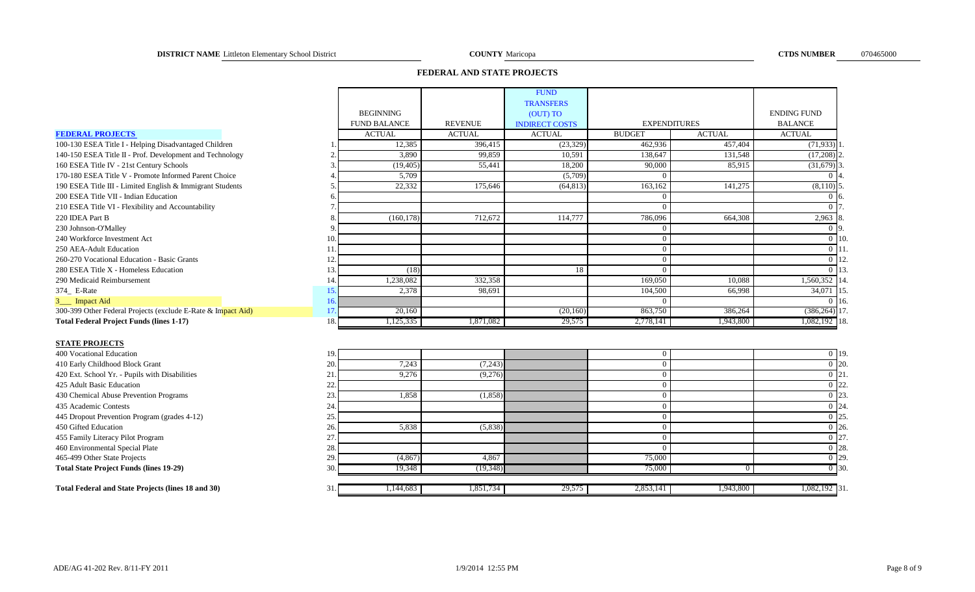### **FEDERAL AND STATE PROJECTS**

|                                                              |     |                     |                | <b>FUND</b>           |                     |               |                           |                |
|--------------------------------------------------------------|-----|---------------------|----------------|-----------------------|---------------------|---------------|---------------------------|----------------|
|                                                              |     |                     |                | <b>TRANSFERS</b>      |                     |               |                           |                |
|                                                              |     | <b>BEGINNING</b>    |                | (OUT) TO              |                     |               | <b>ENDING FUND</b>        |                |
|                                                              |     | <b>FUND BALANCE</b> | <b>REVENUE</b> | <b>INDIRECT COSTS</b> | <b>EXPENDITURES</b> |               | <b>BALANCE</b>            |                |
| <b>FEDERAL PROJECTS</b>                                      |     | <b>ACTUAL</b>       | <b>ACTUAL</b>  | <b>ACTUAL</b>         | <b>BUDGET</b>       | <b>ACTUAL</b> | <b>ACTUAL</b>             |                |
| 100-130 ESEA Title I - Helping Disadvantaged Children        |     | 12,385              | 396,415        | (23, 329)             | 462,936             | 457,404       | $(71, 933)$ <sup>1</sup>  |                |
| 140-150 ESEA Title II - Prof. Development and Technology     |     | 3,890               | 99,859         | 10,591                | 138,647             | 131,548       | $(17,208)$ <sub>2</sub> . |                |
| 160 ESEA Title IV - 21st Century Schools                     |     | (19, 405)           | 55,441         | 18,200                | 90,000              | 85,915        | $(31,679)$ 3.             |                |
| 170-180 ESEA Title V - Promote Informed Parent Choice        |     | 5,709               |                | (5,709)               | $\Omega$            |               |                           | 0.14.          |
| 190 ESEA Title III - Limited English & Immigrant Students    |     | 22,332              | 175,646        | (64, 813)             | 163,162             | 141,275       | $(8,110)$ 5.              |                |
| 200 ESEA Title VII - Indian Education                        |     |                     |                |                       |                     |               |                           | -16.           |
| 210 ESEA Title VI - Flexibility and Accountability           |     |                     |                |                       | $\Omega$            |               | 0 <sub>17</sub>           |                |
| 220 IDEA Part B                                              |     | (160, 178)          | 712,672        | 114,777               | 786,096             | 664,308       | $2,963$ 8                 |                |
| 230 Johnson-O'Malley                                         |     |                     |                |                       | $\Omega$            |               |                           | 0 9.           |
| 240 Workforce Investment Act                                 | 10  |                     |                |                       |                     |               |                           | $0 \vert 10$   |
| 250 AEA-Adult Education                                      | 11. |                     |                |                       | $\theta$            |               |                           | 0 11           |
| 260-270 Vocational Education - Basic Grants                  | 12. |                     |                |                       | $\Omega$            |               |                           | $0 \vert 12$ . |
| 280 ESEA Title X - Homeless Education                        | 13  | (18)                |                | 18                    | $\Omega$            |               |                           | $0 \vert 13$ . |
| 290 Medicaid Reimbursement                                   | 14. | 1,238,082           | 332,358        |                       | 169,050             | 10,088        | 1,560,352 14.             |                |
| 374_ E-Rate                                                  | 15. | 2,378               | 98,691         |                       | 104,500             | 66,998        | 34,071 15.                |                |
| 3___ Impact Aid                                              | 16. |                     |                |                       | $\Omega$            |               |                           | $0 \vert 16$   |
| 300-399 Other Federal Projects (exclude E-Rate & Impact Aid) | 17  | 20,160              |                | (20,160)              | 863,750             | 386,264       | $(386, 264)$ 17           |                |
| <b>Total Federal Project Funds (lines 1-17)</b>              | 18. | 1,125,335           | 1,871,082      | 29,575                | 2,778,141           | 1,943,800     | 1,082,192 18.             |                |
|                                                              |     |                     |                |                       |                     |               |                           |                |
| <b>STATE PROJECTS</b>                                        |     |                     |                |                       |                     |               |                           |                |

#### **STATE PROJECTS**

| 400 Vocational Education                           | 19.  |          |           |        |           |           | $0 \vert 19.$ |
|----------------------------------------------------|------|----------|-----------|--------|-----------|-----------|---------------|
| 410 Early Childhood Block Grant                    | 20.  | 7,243    | (7,243)   |        |           |           | $0\,$  20.    |
| 420 Ext. School Yr. - Pupils with Disabilities     |      | 9,276    | (9,276)   |        |           |           | $0 \;  21.$   |
| 425 Adult Basic Education                          | ۷L.  |          |           |        |           |           | $0 \,  22.$   |
| 430 Chemical Abuse Prevention Programs             | 23.  | 1,858    | (1,858)   |        |           |           | $0\, 23.$     |
| 435 Academic Contests                              | 24.  |          |           |        |           |           | $0\,$ 24.     |
| 445 Dropout Prevention Program (grades 4-12)       | 25.  |          |           |        |           |           | $0 \,  25.$   |
| 450 Gifted Education                               | 26.  | 5,838    | (5,838)   |        |           |           | $0\,$  26.    |
| 455 Family Literacy Pilot Program                  |      |          |           |        |           |           | $0 \,  27.$   |
| 460 Environmental Special Plate                    | 28.  |          |           |        |           |           | $0\,$  28.    |
| 465-499 Other State Projects                       | 29.  | (4,867)  | 4,867     |        | 75,000    |           | $0$  29.      |
| <b>Total State Project Funds (lines 19-29)</b>     | 30.  | 19.348   | (19.348)  |        | 75,000    |           | $0$ 30.       |
| Total Federal and State Projects (lines 18 and 30) | 31.I | .144,683 | 1,851,734 | 29,575 | 2,853,141 | 1,943,800 | 1,082,192 31. |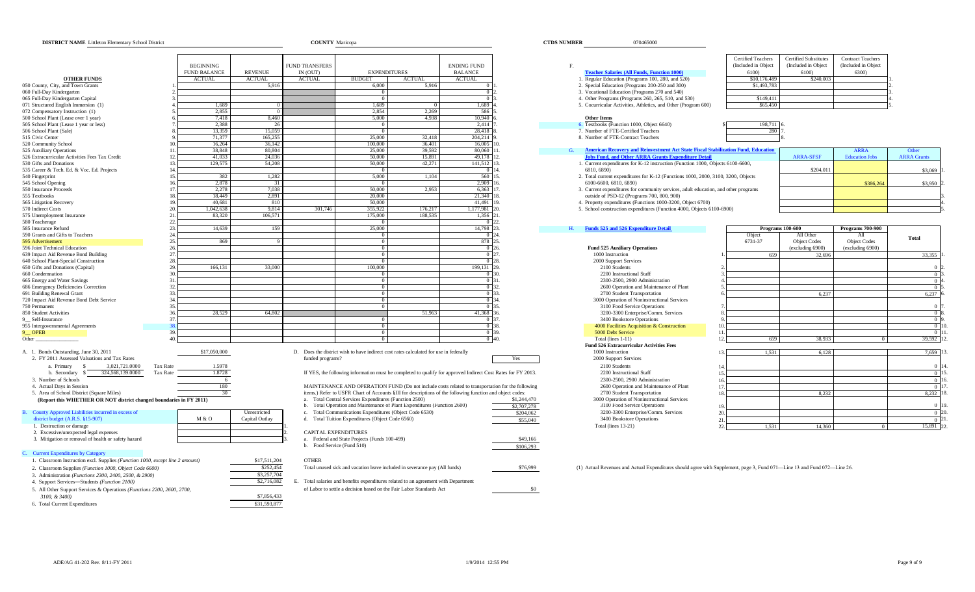#### **DISTRICT NAME COUNTY CTDS NUMBER** 070465000 Littleton Elementary School District Maricopa

|                                                                               |                     |                |                             |                                                         |                                                                                                              |                    |                         |    |                                                                                                                          | Certified Teachers   | <b>Certified Substitutes</b> | Contract Teachers     |                    |
|-------------------------------------------------------------------------------|---------------------|----------------|-----------------------------|---------------------------------------------------------|--------------------------------------------------------------------------------------------------------------|--------------------|-------------------------|----|--------------------------------------------------------------------------------------------------------------------------|----------------------|------------------------------|-----------------------|--------------------|
|                                                                               | <b>BEGINNING</b>    |                | <b>FUND TRANSFERS</b>       |                                                         |                                                                                                              | <b>ENDING FUND</b> |                         | F. |                                                                                                                          | (Included in Object) | (Included in Object          | (Included in Object   |                    |
|                                                                               | <b>FUND BALANCE</b> | <b>REVENUE</b> | IN (OUT)                    | <b>EXPENDITURES</b>                                     |                                                                                                              | <b>BALANCE</b>     |                         |    | <b>Teacher Salaries (All Funds, Function 1000)</b>                                                                       | 6100)                | 6100)                        | 6300)                 |                    |
| <b>OTHER FUNDS</b>                                                            | <b>ACTUAL</b>       | <b>ACTUAL</b>  | <b>ACTUAL</b>               | <b>BUDGET</b>                                           | <b>ACTUAL</b>                                                                                                | <b>ACTUAL</b>      |                         |    | 1. Regular Education (Programs 100, 280, and 520)                                                                        | \$10,176,489         | \$240,003                    |                       |                    |
| 050 County, City, and Town Grants                                             |                     | 5,916          |                             | 6,000                                                   | 5,916                                                                                                        |                    |                         |    | 2. Special Education (Programs 200-250 and 300)                                                                          | \$1,493,783          |                              |                       |                    |
| 060 Full-Day Kindergarten                                                     |                     |                |                             |                                                         |                                                                                                              | $\Omega$           |                         |    | 3. Vocational Education (Programs 270 and 540)                                                                           |                      |                              |                       |                    |
| 065 Full-Day Kindergarten Capital                                             |                     |                |                             | $\overline{0}$                                          |                                                                                                              | $\sqrt{2}$         |                         |    | 4. Other Programs (Programs 260, 265, 510, and 530)                                                                      | \$149,411            |                              |                       |                    |
|                                                                               |                     |                |                             |                                                         |                                                                                                              |                    |                         |    |                                                                                                                          |                      |                              |                       |                    |
| 071 Structured English Immersion (1)                                          | 1,689               |                |                             | 1,689                                                   |                                                                                                              | 1,689              |                         |    | 5. Cocurricular Activities, Athletics, and Other (Program 600)                                                           | \$65,450             |                              |                       |                    |
| 072 Compensatory Instruction (1)                                              | 2.855               | $^{\circ}$     |                             | 2.854                                                   | 2.269                                                                                                        | 586                |                         |    |                                                                                                                          |                      |                              |                       |                    |
| 500 School Plant (Lease over 1 year)                                          | 7,418               | 8,460          |                             | 5,000                                                   | 4.938                                                                                                        | 10.940             |                         |    | <b>Other Items</b>                                                                                                       |                      |                              |                       |                    |
| 505 School Plant (Lease 1 year or less)                                       | 2.388               | 26             |                             | $\bf{0}$                                                |                                                                                                              | 2.414              |                         |    | 6. Textbooks (Function 1000, Object 6640)                                                                                | 198,711              |                              |                       |                    |
| 506 School Plant (Sale)                                                       | 13.359              | 15.059         |                             | $\overline{0}$                                          |                                                                                                              | 28.418             |                         |    | 7. Number of FTE-Certified Teachers                                                                                      | 280                  |                              |                       |                    |
| 515 Civic Center                                                              | 71,377              | 165,255        |                             | 25,000                                                  | 32,418                                                                                                       | 204,214            |                         |    | 8. Number of FTE-Contract Teachers                                                                                       |                      |                              |                       |                    |
| 520 Community School                                                          | 16.264              | 36.142         |                             | 100,000                                                 | 36.401                                                                                                       | 16,005             |                         |    |                                                                                                                          |                      |                              |                       |                    |
| 525 Auxiliary Operations<br>11                                                | 38,848              | 80,804         |                             | 25,000                                                  | 39,592                                                                                                       | 80,060             |                         |    | G. American Recovery and Reinvestment Act State Fiscal Stabilization Fund, Education                                     |                      |                              | <b>ARRA</b>           |                    |
| 526 Extracurricular Activities Fees Tax Credit<br>12                          | 41.033              | 24,036         |                             | 50,000                                                  | 15.891                                                                                                       | 49.178             |                         |    | <b>Jobs Fund, and Other ARRA Grants Expenditure Deta</b>                                                                 |                      | <b>ARRA-SFSF</b>             | <b>Education Jobs</b> | <b>ARRA</b> Grants |
| 13.<br>530 Gifts and Donations                                                | 129,575             | 54,208         |                             | 50,000                                                  | 42,271                                                                                                       | 141,512            |                         |    | 1. Current expenditures for K-12 instruction (Function 1000, Objects 6100-6600,                                          |                      |                              |                       |                    |
| 535 Career & Tech. Ed. & Voc. Ed. Projects<br>14.                             |                     |                |                             | $\overline{0}$                                          |                                                                                                              | 0 <sup>1</sup>     |                         |    | 6810, 6890)                                                                                                              |                      | \$204,01                     |                       | \$3,069            |
|                                                                               |                     | 1,282          |                             |                                                         |                                                                                                              | 560                |                         |    |                                                                                                                          |                      |                              |                       |                    |
| 15.<br>540 Fingerprint                                                        | 382                 |                |                             | 5,000                                                   | 1,104                                                                                                        |                    |                         |    | 2. Total current expenditures for K-12 (Functions 1000, 2000, 3100, 3200, Objects                                        |                      |                              |                       |                    |
| 545 School Opening<br>16                                                      | 2,878               | 31             |                             | $\Omega$                                                |                                                                                                              | 2.909              |                         |    | 6100-6600, 6810, 6890)                                                                                                   |                      |                              | \$386,264             | \$3,950            |
| 550 Insurance Proceeds<br>17                                                  | 2.278               | 7.038          |                             | 50,000                                                  | 2.953                                                                                                        | 6.363 17           |                         |    | 3. Current expenditures for community services, adult education, and other programs                                      |                      |                              |                       |                    |
| 555 Textbooks<br>18                                                           | 18,449              | 2,891          |                             | 20,000                                                  |                                                                                                              | 21,340             |                         |    | outside of PSD-12 (Programs 700, 800, 900)                                                                               |                      |                              |                       |                    |
| 565 Litigation Recovery<br>19                                                 | 40.681              | 810            |                             | 50.000                                                  |                                                                                                              | 41.491             |                         |    | 4. Property expenditures (Functions 1000-3200, Object 6700)                                                              |                      |                              |                       |                    |
| 570 Indirect Costs<br>20                                                      | 1,042,638           | 9,814          | 301,746                     | 355,922                                                 | 176,217                                                                                                      | 1,177,981          |                         |    | 5. School construction expenditures (Function 4000, Objects 6100-6900)                                                   |                      |                              |                       |                    |
| 21.<br>575 Unemployment Insurance                                             | 83,320              | 106.571        |                             | 175,000                                                 | 188.535                                                                                                      | 1.356 21           |                         |    |                                                                                                                          |                      |                              |                       |                    |
| 22.<br>580 Teacherage                                                         |                     |                |                             |                                                         |                                                                                                              |                    |                         |    |                                                                                                                          |                      |                              |                       |                    |
| 23.<br>585 Insurance Refund                                                   | 14,639              | 159            |                             | 25,000                                                  |                                                                                                              | 14,798 23          |                         |    | Funds 525 and 526 Expenditure Detail                                                                                     |                      | Programs 100-600             | Programs 700-900      |                    |
| 590 Grants and Gifts to Teachers<br>24                                        |                     |                |                             | $\Omega$                                                |                                                                                                              | 0 <sup>2</sup>     |                         |    |                                                                                                                          | Object               | All Other                    |                       |                    |
| 25.<br>595 Advertisement                                                      |                     |                |                             |                                                         |                                                                                                              |                    |                         |    |                                                                                                                          | 6731-37              | <b>Object Codes</b>          | <b>Object Codes</b>   | <b>Total</b>       |
|                                                                               | 869                 |                |                             | $\bf{0}$                                                |                                                                                                              | 878 2              |                         |    |                                                                                                                          |                      |                              |                       |                    |
| 596 Joint Technical Education<br>26                                           |                     |                |                             | $\Omega$                                                |                                                                                                              |                    |                         |    | <b>Fund 525 Auxiliary Operations</b>                                                                                     |                      | (excluding 6900)             | (excluding 6900)      |                    |
| 639 Impact Aid Revenue Bond Building<br>27                                    |                     |                |                             | $\Omega$                                                |                                                                                                              | 0 <sup>127</sup>   |                         |    | 1000 Instruction                                                                                                         | 659                  | 32.696                       |                       | 33.355             |
| 640 School Plant-Special Construction<br>28.                                  |                     |                |                             | $\overline{0}$                                          |                                                                                                              | 0 28               |                         |    | 2000 Support Services                                                                                                    |                      |                              |                       |                    |
| 650 Gifts and Donations (Capital)<br>29                                       | 166,131             | 33,000         |                             | 100,000                                                 |                                                                                                              | 199,131 29         |                         |    | 2100 Students                                                                                                            |                      |                              |                       |                    |
| 660 Condemnation<br>30                                                        |                     |                |                             | $\Omega$                                                |                                                                                                              | 0.30               |                         |    | 2200 Instructional Staff                                                                                                 |                      |                              |                       | $\Omega$           |
| 665 Energy and Water Savings<br>31.                                           |                     |                |                             | $\overline{0}$                                          |                                                                                                              | $0 \, 31$          |                         |    | 2300-2500, 2900 Administration                                                                                           |                      |                              |                       | $\Omega$           |
| 32.<br>686 Emergency Deficiencies Correction                                  |                     |                |                             | $\overline{0}$                                          |                                                                                                              |                    | 0 32                    |    | 2600 Operation and Maintenance of Plant                                                                                  |                      |                              |                       |                    |
| 691 Building Renewal Grant<br>33                                              |                     |                |                             | $\overline{0}$                                          |                                                                                                              | 0 <sup>133</sup>   |                         |    | 2700 Student Transportation                                                                                              |                      | 6.237                        |                       | 6,237              |
| 34<br>720 Impact Aid Revenue Bond Debt Service                                |                     |                |                             | $\overline{0}$                                          |                                                                                                              |                    | 0 34.                   |    | 3000 Operation of Noninstructional Services                                                                              |                      |                              |                       |                    |
| 35.<br>750 Permanent                                                          |                     |                |                             | $\overline{0}$                                          |                                                                                                              | 0.35               |                         |    | 3100 Food Service Operations                                                                                             |                      |                              |                       | $\Omega$           |
| 850 Student Activities<br>36                                                  | 28,529              | 64,802         |                             |                                                         | 51,963                                                                                                       | 41,368             |                         |    |                                                                                                                          |                      |                              |                       | $\overline{0}$     |
| 37                                                                            |                     |                |                             |                                                         |                                                                                                              |                    |                         |    | 3200-3300 Enterprise/Comm. Services                                                                                      |                      |                              |                       |                    |
| 9 __ Self-Insurance                                                           |                     |                |                             |                                                         |                                                                                                              | $\Omega$           |                         |    | 3400 Bookstore Operations                                                                                                |                      |                              |                       | $\Omega$           |
| 955 Intergovernmental Agreements                                              |                     |                |                             | $\overline{0}$                                          |                                                                                                              | $\sqrt{2}$         |                         |    | 4000 Facilities Acquisition & Construction<br>10                                                                         |                      |                              |                       | $\overline{2}$     |
| <b>OPEB</b><br>39.                                                            |                     |                |                             | $\bf{0}$                                                |                                                                                                              |                    |                         |    | 5000 Debt Service                                                                                                        |                      |                              |                       | $\Omega$           |
| Other_                                                                        |                     |                |                             | $\overline{0}$                                          |                                                                                                              |                    |                         |    | Total (lines 1-11)<br>12.                                                                                                | 659                  | 38,933                       |                       | 39,592             |
|                                                                               |                     |                |                             |                                                         |                                                                                                              |                    |                         |    | Fund 526 Extracurricular Activities Fees                                                                                 |                      |                              |                       |                    |
| A. 1. Bonds Outstanding, June 30, 2011                                        | \$17,050,000        |                |                             |                                                         | D. Does the district wish to have indirect cost rates calculated for use in federally                        |                    |                         |    | 1000 Instruction<br>13                                                                                                   | 1,531                | 6,128                        |                       | 7,659              |
| 2. FY 2011 Assessed Valuations and Tax Rates                                  |                     |                | funded programs?            |                                                         |                                                                                                              |                    | Yes                     |    | 2000 Support Services                                                                                                    |                      |                              |                       |                    |
| 3,021,721.0000<br>a. Primary<br>Tax Rate                                      | 1.5978              |                |                             |                                                         |                                                                                                              |                    |                         |    | 2100 Students<br>14                                                                                                      |                      |                              |                       |                    |
| b. Secondary<br>324,568,139.0000<br>Tax Rate                                  | 1.8728              |                |                             |                                                         | If YES, the following information must be completed to qualify for approved Indirect Cost Rates for FY 2013. |                    |                         |    | 2200 Instructional Staff<br>15                                                                                           |                      |                              |                       | $\Omega$           |
|                                                                               |                     |                |                             |                                                         |                                                                                                              |                    |                         |    |                                                                                                                          |                      |                              |                       |                    |
| 3. Number of Schools                                                          | 6                   |                |                             |                                                         |                                                                                                              |                    |                         |    | 2300-2500, 2900 Administration<br>16                                                                                     |                      |                              |                       | $\Omega$           |
| 4. Actual Days in Session                                                     | 180                 |                |                             |                                                         | MAINTENANCE AND OPERATION FUND (Do not include costs related to transportation for the following             |                    |                         |    | 2600 Operation and Maintenance of Plant<br>17                                                                            |                      |                              |                       | $\Omega$           |
| 5. Area of School District (Square Miles)                                     | 30                  |                |                             |                                                         | items.) Refer to USFR Chart of Accounts §III for descriptions of the following function and object codes:    |                    |                         |    | 2700 Student Transportation<br>18                                                                                        |                      | 8.232                        |                       | 8.232              |
| (Report this WHETHER OR NOT district changed boundaries in FY 2011)           |                     |                |                             | a. Total Central Services Expenditures (Function 2500)  |                                                                                                              |                    | \$1,244,470             |    | 3000 Operation of Noninstructional Services                                                                              |                      |                              |                       |                    |
|                                                                               |                     |                |                             |                                                         | b. Total Operation and Maintenance of Plant Expenditures (Function 2600)                                     |                    | $\overline{$2,707,278}$ |    | 3100 Food Service Operations                                                                                             |                      |                              |                       |                    |
| County Approved Liabilities incurred in excess of                             |                     | Unrestricted   |                             | c. Total Communications Expenditures (Object Code 6530) |                                                                                                              |                    | \$204,062               |    | 3200-3300 Enterprise/Comm. Services<br>20                                                                                |                      |                              |                       | $\Omega$           |
| district budget (A.R.S. §15-907)                                              | M & O               | Capital Outlay |                             | d. Total Tuition Expenditures (Object Code 6560)        |                                                                                                              |                    | \$55,040                |    | 3400 Bookstore Operations<br>21                                                                                          |                      |                              |                       | $\overline{0}$     |
| 1. Destruction or damage                                                      |                     |                |                             |                                                         |                                                                                                              |                    |                         |    | Total (lines 13-21)<br>22                                                                                                |                      |                              | $\overline{0}$        | 15,891             |
| 2. Excessive/unexpected legal expenses                                        |                     |                | <b>CAPITAL EXPENDITURES</b> |                                                         |                                                                                                              |                    |                         |    |                                                                                                                          | 1,531                | 14,360                       |                       |                    |
|                                                                               |                     |                |                             |                                                         |                                                                                                              |                    |                         |    |                                                                                                                          |                      |                              |                       |                    |
| 3. Mitigation or removal of health or safety hazard                           |                     |                |                             | a. Federal and State Projects (Funds 100-499)           |                                                                                                              |                    | \$49,166                |    |                                                                                                                          |                      |                              |                       |                    |
|                                                                               |                     |                | b. Food Service (Fund 510)  |                                                         |                                                                                                              |                    | \$106,293               |    |                                                                                                                          |                      |                              |                       |                    |
| <b>Current Expenditures by Category</b>                                       |                     |                |                             |                                                         |                                                                                                              |                    |                         |    |                                                                                                                          |                      |                              |                       |                    |
| 1. Classroom Instruction excl. Supplies (Function 1000, except line 2 amount) |                     | \$17,511,204   | <b>OTHER</b>                |                                                         |                                                                                                              |                    |                         |    |                                                                                                                          |                      |                              |                       |                    |
| 2. Classroom Supplies (Function 1000, Object Code 6600)                       |                     | \$252,454      |                             |                                                         | Total unused sick and vacation leave included in severance pay (All funds)                                   |                    | \$76,999                |    | (1) Actual Revenues and Actual Expenditures should agree with Supplement, page 3, Fund 071-Line 13 and Fund 072-Line 26. |                      |                              |                       |                    |
| 3. Administration (Functions 2300, 2400, 2500, & 2900)                        |                     | \$3,257,704    |                             |                                                         |                                                                                                              |                    |                         |    |                                                                                                                          |                      |                              |                       |                    |
|                                                                               |                     |                |                             |                                                         |                                                                                                              |                    |                         |    |                                                                                                                          |                      |                              |                       |                    |
| 4 Support Services-Students (Eunction 2100)                                   |                     | \$2,716,082    |                             |                                                         | Total salaries and benefits expenditures related to an agreement with Department                             |                    |                         |    |                                                                                                                          |                      |                              |                       |                    |

| " Support Services & Operations ( <i>Functions</i> 2200, 2600, 2700,<br>All Other |        | a decision based on the Fair Labor Standards Act ^ | ¢∩ |
|-----------------------------------------------------------------------------------|--------|----------------------------------------------------|----|
| 3100.<br>&3400                                                                    | 856.42 |                                                    |    |

6. Total Current Expenditures \$31,593,877

| IN (OU'I | <b>EXPENDITURES</b> | <b>ANCE</b><br>в.<br>DALAI<br>ີ |                                                                                                                                                                                                                                                                                                                                    | 6100          | 6100)    | 6300 |
|----------|---------------------|---------------------------------|------------------------------------------------------------------------------------------------------------------------------------------------------------------------------------------------------------------------------------------------------------------------------------------------------------------------------------|---------------|----------|------|
| ATTTTAT  | $\alpha$<br>.       | A CUTTLE AT                     | $\sqrt{1700}$<br>000<br>$\mathbb{R}$ in $\mathbb{R}$ if $\mathbb{R}$ if $\mathbb{R}$ if $\mathbb{R}$ if $\mathbb{R}$ if $\mathbb{R}$ if $\mathbb{R}$ if $\mathbb{R}$ if $\mathbb{R}$ if $\mathbb{R}$ if $\mathbb{R}$ if $\mathbb{R}$ if $\mathbb{R}$ if $\mathbb{R}$ if $\mathbb{R}$ if $\mathbb{R}$ if $\mathbb{R}$ if $\mathbb{$ | <b>CIA 15</b> | 0.10.002 |      |

- 
- 3. Vocational Education (Programs 270 and 540)
- 0  $\overline{0}$  3. 4. Other Programs (Programs 260, 265, 510, and 530) \$149,411
- 1,689 0 1,689 4. 1,689 0 1,689 1,689 1,689 1,689 1,689 1,689 1,689 1,689 1,689 1,689 1,689 1,689 1,689 1,689 1,689 1,689 1,689 1,689 1,689 1,689 1,689 1,689 1,689 1,689 1,689 1,689 1,689 1,689 1,689 1,689 1,689 1,689 1,689

- 505 School Plant (Lease 1 year or less) 7. 2,388 26 0 2,414 7. 6. Textbooks (Function 1000, Object 6640) \$\$ 198,711 6.
	-
- $\begin{array}{r|l}\n 3. & 1.11,512 \\
 13. & 1.11,512\n \end{array}$  13. 1. Current expenditures for K-12 instruction (Function 1000, Objects 6100-6600, 0  $\begin{array}{r|l}\n 6800 & 6890\n \end{array}$ 5,000 1,104 560 15. 2. Total current expenditures for K-12 (Functions 1000, 2000, 3100, 3200, Objects 0<br>2.909 16. 6100-6600, 6810, 6890)
- 50,000 2,953 6,363 17. 2000 3. Current expenditures for community services, adult education, and other programs 20,000 21.340 18. 555. 18. 18. 18. 18.449 2,595 2,595 2,595 2,595 2,595 2,595 2,595 2,595 2,595 2,595 2,595 2,595 2,595 2,595 2,595 2,596 2,596 2,596 2,596 2,596 2,596 2,596 2,596 2,596 2,596 2,596 2,596 2,596 2,596 2,596 2,596 2,596 2,596
	-
- 56,000 116,217 11,491 19.<br>
19. 41,491 19. 4. Property expenditures (Functions 1000-3200, Object 6700) 11,177,981 20.<br>
19. 5. School construction expenditures (Function 4000, Objects 6 355,922 176,217 1,177,981 20. 5. School construction expenditures (Function 4000, Objects 6100-6900)<br>175,000 188,535 1,356 21.

#### 585 Insurance Refund 23. 14,639 159 25,000 14,798 23. H. **Funds 525 and 526 Expenditure Detail Programs 700-900**

| <b>Fund 525 Auxiliary Operations</b>                                        |
|-----------------------------------------------------------------------------|
| 1000 Instruction                                                            |
| 2000 Support Services                                                       |
| 2100 Students                                                               |
| 2200 Instructional Staff                                                    |
| 2300-2500, 2900 Administration                                              |
| 2600 Operation and Maintenance of Plant                                     |
| 2700 Student Transportation                                                 |
| 3000 Operation of Noninstructional Services                                 |
| 3100 Food Service Operations                                                |
| 3200-3300 Enterprise/Comm. Services                                         |
| 3400 Bookstore Operations                                                   |
| 4000 Facilities Acquisition & Construction                                  |
| 5000 Debt Service                                                           |
| Total (lines 1-11)                                                          |
|                                                                             |
| <b>Fund 526 Extracurricular Activities Fees</b>                             |
| 1000 Instruction                                                            |
| 2000 Support Services                                                       |
| 2100 Students                                                               |
| 2200 Instructional Staff                                                    |
|                                                                             |
| 2300-2500, 2900 Administration                                              |
| 2600 Operation and Maintenance of Plant                                     |
| 2700 Student Transportation                                                 |
| 3000 Operation of Noninstructional Services<br>3100 Food Service Operations |
| 3200-3300 Enterprise/Comm. Services                                         |
| 3400 Bookstore Operations                                                   |

|            |                     | \$386,264           | \$3,950  |
|------------|---------------------|---------------------|----------|
| <b>ums</b> |                     |                     |          |
|            |                     |                     |          |
|            |                     |                     |          |
|            |                     |                     |          |
|            |                     | Programs 700-900    |          |
|            | Programs 100-600    |                     |          |
| bject      | All Other           | All                 | Total    |
| 31-37      | <b>Object Codes</b> | <b>Object Codes</b> |          |
|            | (excluding 6900)    | (excluding 6900)    |          |
| 659        | 32,696              |                     | 33,355   |
|            |                     |                     |          |
|            |                     |                     |          |
|            |                     |                     | $\Omega$ |
|            |                     |                     | ×        |

Contract Teachers (Included in Object

| $\overline{0}$   |                |        |       | 4.  |
|------------------|----------------|--------|-------|-----|
| $\overline{0}$   |                |        |       | 5.  |
| 6,237            |                | 6,237  |       | 6.  |
|                  |                |        |       |     |
| $\boldsymbol{0}$ |                |        |       | 7.  |
| $\overline{0}$   |                |        |       | 8.  |
| $\overline{0}$   |                |        |       | 9.  |
| $\overline{0}$   |                |        |       | 10. |
| $\overline{0}$   |                |        |       | 11. |
| 39,592           | $\overline{0}$ | 38,933 | 659   | 12. |
|                  |                |        |       |     |
| 7,659            |                | 6,128  | 1,531 | 13. |
|                  |                |        |       |     |
| $\bf{0}$         |                |        |       | 14. |
|                  |                |        |       | 15. |
|                  |                |        |       | 16. |
| $\bf{0}$         |                |        |       | 17. |
| 8,232            |                | 8,232  |       | 18. |
|                  |                |        |       |     |
| $\overline{0}$   |                |        |       | 19. |
| $\boldsymbol{0}$ |                |        |       | 20. |
| $\boldsymbol{0}$ |                |        |       | 21  |
|                  |                |        |       |     |

Certified Substitutes (Included in Object 6100)

Certified Teachers (Included in Object  $6100$ <br>\$10,176,489

#### (1) Actual Revenues and Actual Expenditures should agree with Supplement, page 3, Fund 071—Line 13 and Fund 072—Line 26, and yacation leave included in severance pay (All funds) \$76,999 (1) Actual Revenues and Actual Expen

#### ADE/AG 41-202 Rev. 8/11-FY 2011 Page 9 of 9 Page 9 of 9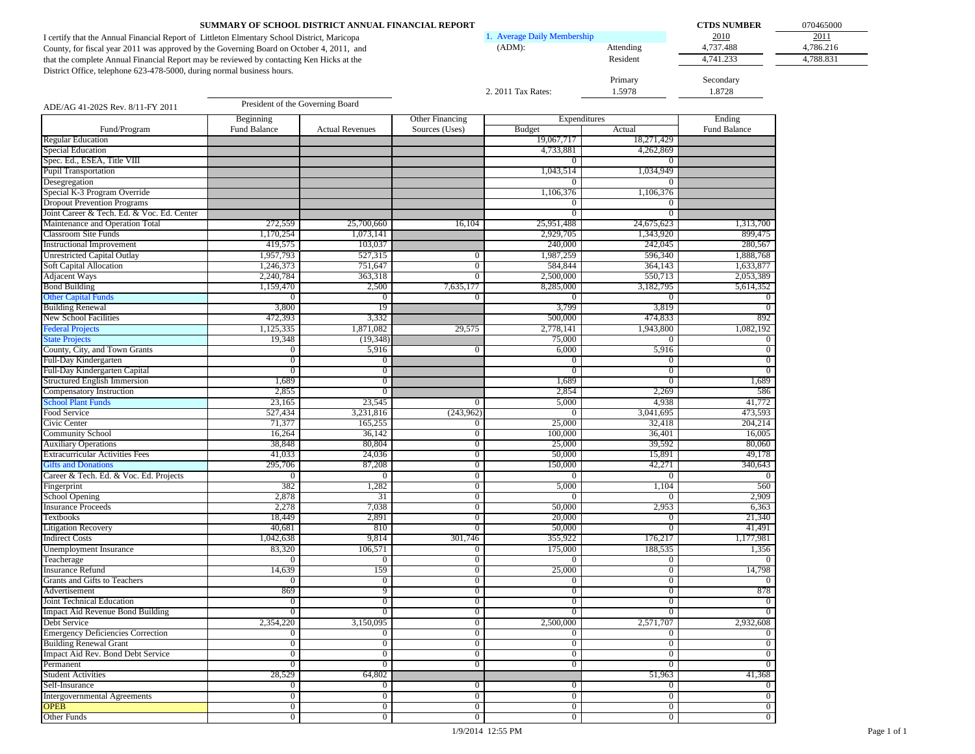| SUMMARY OF SCHOOL DISTRICT ANNUAL FINANCIAL REPORT                                          |                             |           | <b>CTDS NUMBER</b> | 070465000 |
|---------------------------------------------------------------------------------------------|-----------------------------|-----------|--------------------|-----------|
| I certify that the Annual Financial Report of Littleton Elmentary School District, Maricopa | 1. Average Daily Membership |           | 2010               | 2011      |
| County, for fiscal year 2011 was approved by the Governing Board on October 4, 2011, and    | (ADM):                      | Attending | 4.737.488          | 4,786.216 |
| that the complete Annual Financial Report may be reviewed by contacting Ken Hicks at the    |                             | Resident  | 4.741.233          | 4.788.831 |
| District Office, telephone 623-478-5000, during normal business hours.                      |                             |           |                    |           |
|                                                                                             |                             | Primary   | Secondary          |           |
|                                                                                             | 2. 2011 Tax Rates:          | 1.5978    | 1.8728             |           |

|                                            | Beginning             |                         | <b>Other Financing</b> | Expenditures            |                         | Ending          |
|--------------------------------------------|-----------------------|-------------------------|------------------------|-------------------------|-------------------------|-----------------|
| Fund/Program                               | Fund Balance          | <b>Actual Revenues</b>  | Sources (Uses)         | <b>Budget</b>           | Actual                  | Fund Balance    |
| <b>Regular Education</b>                   |                       |                         |                        | 19,067,717              | 18,271,429              |                 |
| <b>Special Education</b>                   |                       |                         |                        | 4,733,881               | 4,262,869               |                 |
| Spec. Ed., ESEA, Title VIII                |                       |                         |                        | 0                       | $\mathbf{0}$            |                 |
| <b>Pupil Transportation</b>                |                       |                         |                        | 1,043,514               | 1,034,949               |                 |
| Desegregation                              |                       |                         |                        | $\mathbf{0}$            | $\overline{0}$          |                 |
| Special K-3 Program Override               |                       |                         |                        | 1,106,376               | 1,106,376               |                 |
| <b>Dropout Prevention Programs</b>         |                       |                         |                        | 0                       | $\mathbf{0}$            |                 |
| Joint Career & Tech. Ed. & Voc. Ed. Center |                       |                         |                        | $\overline{0}$          | $\overline{0}$          |                 |
| Maintenance and Operation Total            | 272,559               | 25,700,660              | 16,104                 | 25,951,488              | 24,675,623              | 1,313,700       |
| <b>Classroom Site Funds</b>                | 1,170,254             | 1,073,141               |                        | 2,929,705               | 1,343,920               | 899,475         |
| <b>Instructional Improvement</b>           | 419,575               | 103,037                 |                        | 240,000                 | 242,045                 | 280,567         |
| <b>Unrestricted Capital Outlay</b>         | 1,957,793             | 527,315                 | $\overline{0}$         | 1,987,259               | 596,340                 | 1,888,768       |
| <b>Soft Capital Allocation</b>             | 1,246,373             | 751,647                 | $\overline{0}$         | 584,844                 | 364,143                 | 1,633,877       |
| <b>Adjacent Ways</b>                       | 2,240,784             | 363,318                 | $\overline{0}$         | 2,500,000               | 550,713                 | 2,053,389       |
| <b>Bond Building</b>                       | 1,159,470             | 2,500                   | 7,635,177              | 8,285,000               | 3,182,795               | 5,614,352       |
| <b>Other Capital Funds</b>                 | $\Omega$              | $\mathbf{0}$            | $\boldsymbol{0}$       | $\boldsymbol{0}$        | $\Omega$                | $\mathbf{0}$    |
| <b>Building Renewal</b>                    | 3,800                 | 19                      |                        | 3,799                   | 3,819                   | $\overline{0}$  |
| New School Facilities                      | 472,393               | 3,332                   |                        | 500,000                 | 474,833                 | 892             |
| <b>Federal Projects</b>                    | 1,125,335             | 1,871,082               | 29,575                 | 2,778,141               | 1,943,800               | 1,082,192       |
| <b>State Projects</b>                      | 19,348                | (19, 348)               |                        | 75,000                  | $\mathbf{0}$            | $\overline{0}$  |
| County, City, and Town Grants              | $\Omega$              | 5,916                   | $\mathbf{0}$           | 6,000                   | 5,916                   | $\overline{0}$  |
| Full-Day Kindergarten                      | $\overline{0}$        | $\overline{0}$          |                        | $\overline{0}$          | $\overline{0}$          | $\overline{0}$  |
| Full-Day Kindergarten Capital              | $\overline{0}$        | $\overline{0}$          |                        | $\overline{0}$          | $\overline{0}$          | $\overline{0}$  |
| <b>Structured English Immersion</b>        | 1,689                 | $\overline{0}$          |                        | 1,689                   | $\overline{0}$          | 1,689           |
| Compensatory Instruction                   | 2,855                 | $\overline{0}$          |                        | 2,854                   | 2,269                   | 586             |
| <b>School Plant Funds</b>                  | 23,165                | 23,545                  | $\overline{0}$         | 5,000                   | 4,938                   | 41,772          |
| Food Service                               | 527,434               | 3,231,816               | (243,962)              | $\overline{0}$          | 3,041,695               | 473,593         |
| Civic Center                               | 71,377                | 165,255                 | $\bf{0}$               | 25,000                  | 32,418                  | 204,214         |
| <b>Community School</b>                    | 16,264                | 36,142                  | $\boldsymbol{0}$       | 100,000                 | 36,401                  | 16,005          |
| <b>Auxiliary Operations</b>                | 38,848                | 80,804                  | $\overline{0}$         | 25,000                  | 39,592                  | 80,060          |
| <b>Extracurricular Activities Fees</b>     | 41,033                | 24,036                  | $\overline{0}$         | 50,000                  | 15,891                  | 49,178          |
| <b>Gifts and Donations</b>                 | 295,706               | 87,208                  | $\overline{0}$         | 150,000                 | 42,271                  | 340,643         |
|                                            |                       |                         | $\boldsymbol{0}$       |                         |                         | $\overline{0}$  |
| Career & Tech. Ed. & Voc. Ed. Projects     | $\overline{0}$<br>382 | $\overline{0}$<br>1,282 | $\overline{0}$         | $\overline{0}$<br>5,000 | $\overline{0}$<br>1,104 | 560             |
| Fingerprint                                |                       |                         |                        |                         |                         | 2,909           |
| School Opening                             | 2,878                 | 31                      | $\overline{0}$         | $\boldsymbol{0}$        | $\mathbf{0}$            |                 |
| <b>Insurance Proceeds</b>                  | 2.278<br>18,449       | 7.038                   | $\overline{0}$         | 50,000<br>20,000        | 2,953                   | 6,363<br>21,340 |
| <b>Textbooks</b>                           | 40.681                | 2,891                   | $\overline{0}$         | 50,000                  | $\overline{0}$          |                 |
| <b>Litigation Recovery</b>                 |                       | 810                     | $\overline{0}$         |                         | $\overline{0}$          | 41.491          |
| <b>Indirect Costs</b>                      | 1,042,638             | 9,814                   | 301,746                | 355,922                 | 176,217                 | 1,177,981       |
| Unemployment Insurance                     | 83,320                | 106,571                 | $\overline{0}$         | 175,000                 | 188,535                 | 1,356           |
| Teacherage                                 | $\Omega$              | $\overline{0}$          | $\overline{0}$         | 0                       | $\mathbf{0}$            | $\overline{0}$  |
| <b>Insurance Refund</b>                    | 14,639                | 159                     | $\overline{0}$         | 25,000                  | $\overline{0}$          | 14,798          |
| Grants and Gifts to Teachers               | $\Omega$              | $\overline{0}$          | $\overline{0}$         | $\mathbf{0}$            | $\overline{0}$          | $\overline{0}$  |
| Advertisement                              | 869                   | 9                       | $\overline{0}$         | $\overline{0}$          | $\overline{0}$          | 878             |
| Joint Technical Education                  | $\Omega$              | $\overline{0}$          | $\overline{0}$         | $\overline{0}$          | $\overline{0}$          | $\overline{0}$  |
| Impact Aid Revenue Bond Building           | $\overline{0}$        | $\overline{0}$          | $\overline{0}$         | $\overline{0}$          | $\overline{0}$          | $\overline{0}$  |
| Debt Service                               | 2,354,220             | 3,150,095               | $\overline{0}$         | 2,500,000               | 2,571,707               | 2,932,608       |
| <b>Emergency Deficiencies Correction</b>   | $\overline{0}$        | $\overline{0}$          | $\overline{0}$         | $\overline{0}$          | $\overline{0}$          | $\overline{0}$  |
| <b>Building Renewal Grant</b>              | $\overline{0}$        | $\overline{0}$          | $\overline{0}$         | $\overline{0}$          | $\overline{0}$          | $\overline{0}$  |
| Impact Aid Rev. Bond Debt Service          | $\overline{0}$        | $\overline{0}$          | $\overline{0}$         | $\overline{0}$          | $\overline{0}$          | $\overline{0}$  |
| Permanent                                  | $\overline{0}$        | $\overline{0}$          | $\boldsymbol{0}$       | $\overline{0}$          | $\overline{0}$          | $\overline{0}$  |
| <b>Student Activities</b>                  | 28,529                | 64,802                  |                        |                         | 51,963                  | 41,368          |
| Self-Insurance                             | $\overline{0}$        | $\mathbf{0}$            | $\overline{0}$         | $\overline{0}$          | $\overline{0}$          | $\mathbf{0}$    |
| <b>Intergovernmental Agreements</b>        | $\overline{0}$        | $\overline{0}$          | $\overline{0}$         | $\overline{0}$          | $\overline{0}$          | $\overline{0}$  |
| <b>OPEB</b>                                | $\overline{0}$        | $\overline{0}$          | $\overline{0}$         | $\overline{0}$          | $\overline{0}$          | $\overline{0}$  |
| Other Funds                                | $\overline{0}$        | $\overline{0}$          | $\overline{0}$         | $\overline{0}$          | $\overline{0}$          | $\overline{0}$  |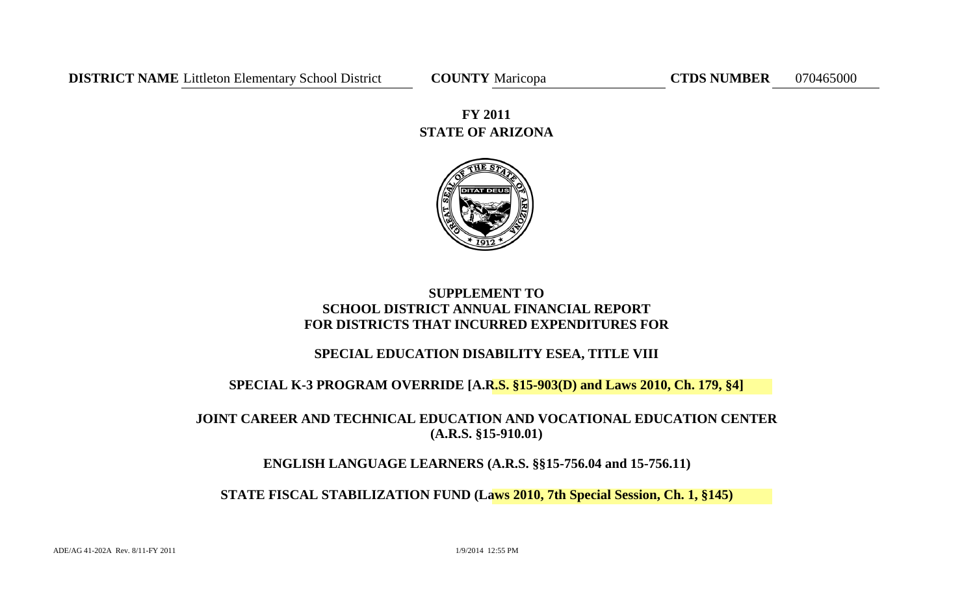**STATE OF ARIZONA FY 2011**



# **SUPPLEMENT TO SCHOOL DISTRICT ANNUAL FINANCIAL REPORT FOR DISTRICTS THAT INCURRED EXPENDITURES FOR**

# **SPECIAL EDUCATION DISABILITY ESEA, TITLE VIII**

# **SPECIAL K-3 PROGRAM OVERRIDE [A.R.S. §15-903(D) and Laws 2010, Ch. 179, §4]**

# **JOINT CAREER AND TECHNICAL EDUCATION AND VOCATIONAL EDUCATION CENTER (A.R.S. §15-910.01)**

# **ENGLISH LANGUAGE LEARNERS (A.R.S. §§15-756.04 and 15-756.11)**

**STATE FISCAL STABILIZATION FUND (Laws 2010, 7th Special Session, Ch. 1, §145)**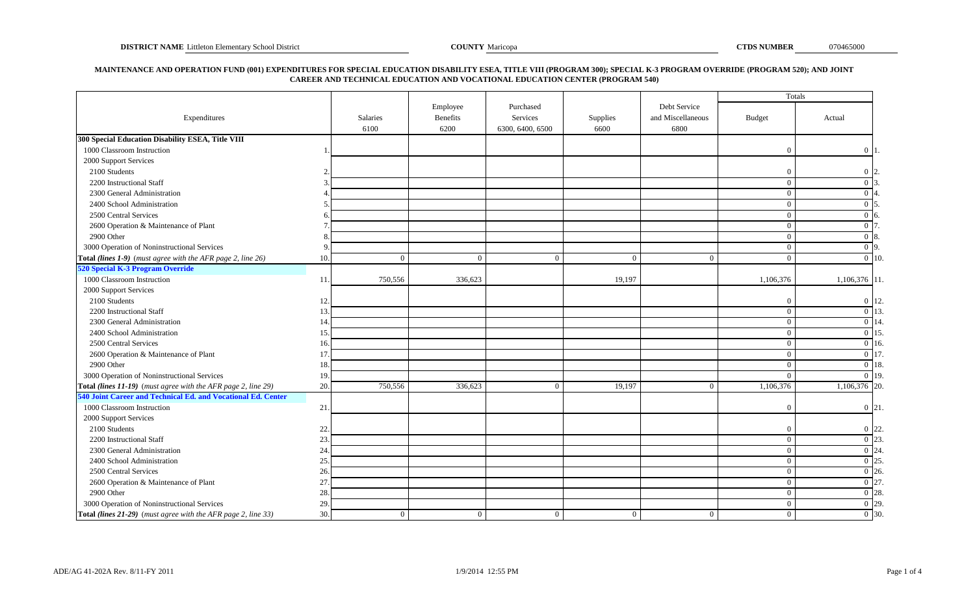#### **MAINTENANCE AND OPERATION FUND (001) EXPENDITURES FOR SPECIAL EDUCATION DISABILITY ESEA, TITLE VIII (PROGRAM 300); SPECIAL K-3 PROGRAM OVERRIDE (PROGRAM 520); AND JOINT CAREER AND TECHNICAL EDUCATION AND VOCATIONAL EDUCATION CENTER (PROGRAM 540)**

|                                                               |     |                         |                  |                              |                  |                           | Totals         |                    |
|---------------------------------------------------------------|-----|-------------------------|------------------|------------------------------|------------------|---------------------------|----------------|--------------------|
|                                                               |     |                         | Employee         | Purchased                    |                  | Debt Service              |                |                    |
| Expenditures                                                  |     | <b>Salaries</b><br>6100 | Benefits<br>6200 | Services<br>6300, 6400, 6500 | Supplies<br>6600 | and Miscellaneous<br>6800 | <b>Budget</b>  | Actual             |
| 300 Special Education Disability ESEA, Title VIII             |     |                         |                  |                              |                  |                           |                |                    |
| 1000 Classroom Instruction                                    |     |                         |                  |                              |                  |                           | $\Omega$       | $0\vert 1$         |
| 2000 Support Services                                         |     |                         |                  |                              |                  |                           |                |                    |
| 2100 Students                                                 |     |                         |                  |                              |                  |                           | $\Omega$       | $0\vert 2$         |
| 2200 Instructional Staff                                      |     |                         |                  |                              |                  |                           | $\overline{0}$ | $0\vert 3$         |
| 2300 General Administration                                   |     |                         |                  |                              |                  |                           | $\overline{0}$ | $0\vert 4$         |
| 2400 School Administration                                    |     |                         |                  |                              |                  |                           | $\overline{0}$ | $0\vert 5$         |
| 2500 Central Services                                         |     |                         |                  |                              |                  |                           | $\overline{0}$ | $\Omega$           |
| 2600 Operation & Maintenance of Plant                         |     |                         |                  |                              |                  |                           | $\overline{0}$ | 0 <sub>17</sub>    |
| 2900 Other                                                    |     |                         |                  |                              |                  |                           | $\overline{0}$ | $0\,8$             |
| 3000 Operation of Noninstructional Services                   |     |                         |                  |                              |                  |                           | $\overline{0}$ | $0\vert 9$         |
| Total (lines 1-9) (must agree with the AFR page 2, line 26)   | 10. | $\Omega$                | $\overline{0}$   | $\theta$                     | $\Omega$         | $\Omega$                  | $\overline{0}$ | $\overline{0}$ 10. |
| 520 Special K-3 Program Override                              |     |                         |                  |                              |                  |                           |                |                    |
| 1000 Classroom Instruction                                    | 11. | 750,556                 | 336,623          |                              | 19,197           |                           | 1,106,376      | 1,106,376 11.      |
| 2000 Support Services                                         |     |                         |                  |                              |                  |                           |                |                    |
| 2100 Students                                                 | 12. |                         |                  |                              |                  |                           | $\Omega$       | $0 \vert 12.$      |
| 2200 Instructional Staff                                      | 13. |                         |                  |                              |                  |                           | $\overline{0}$ | $0\vert 13$        |
| 2300 General Administration                                   | 14. |                         |                  |                              |                  |                           | $\overline{0}$ | 0 14               |
| 2400 School Administration                                    | 15. |                         |                  |                              |                  |                           | $\overline{0}$ | $\overline{0}$ 15  |
| 2500 Central Services                                         | 16. |                         |                  |                              |                  |                           | $\overline{0}$ | $0 \vert 16.$      |
| 2600 Operation & Maintenance of Plant                         | 17  |                         |                  |                              |                  |                           | $\overline{0}$ | $\overline{0}$ 17  |
| 2900 Other                                                    | 18  |                         |                  |                              |                  |                           | $\theta$       | $0 \vert 18$ .     |
| 3000 Operation of Noninstructional Services                   | 19. |                         |                  |                              |                  |                           | $\theta$       | $\overline{0}$ 19. |
| Total (lines 11-19) (must agree with the AFR page 2, line 29) | 20. | 750,556                 | 336,623          | $\overline{0}$               | 19,197           | $\theta$                  | 1,106,376      | $1,106,376$ 20.    |
| 540 Joint Career and Technical Ed. and Vocational Ed. Center  |     |                         |                  |                              |                  |                           |                |                    |
| 1000 Classroom Instruction                                    | 21. |                         |                  |                              |                  |                           | $\Omega$       | $0 \vert 21$ .     |
| 2000 Support Services                                         |     |                         |                  |                              |                  |                           |                |                    |
| 2100 Students                                                 | 22. |                         |                  |                              |                  |                           | $\Omega$       | $0 \vert 22$       |
| 2200 Instructional Staff                                      | 23. |                         |                  |                              |                  |                           | $\overline{0}$ | $\overline{0}$ 23  |
| 2300 General Administration                                   | 24  |                         |                  |                              |                  |                           | $\overline{0}$ | $\overline{0}$ 24  |
| 2400 School Administration                                    | 25. |                         |                  |                              |                  |                           | $\overline{0}$ | $0\vert 25$        |
| 2500 Central Services                                         | 26. |                         |                  |                              |                  |                           | $\overline{0}$ | $0\,126$           |
| 2600 Operation & Maintenance of Plant                         | 27. |                         |                  |                              |                  |                           | $\overline{0}$ | $0\vert 27$        |
| 2900 Other                                                    | 28. |                         |                  |                              |                  |                           | $\overline{0}$ | $\overline{0}$ 28. |
| 3000 Operation of Noninstructional Services                   | 29. |                         |                  |                              |                  |                           | $\overline{0}$ | $\overline{0}$ 29. |
| Total (lines 21-29) (must agree with the AFR page 2, line 33) | 30. | $\overline{0}$          | $\mathbf{0}$     | $\overline{0}$               | $\overline{0}$   | $\overline{0}$            | $\mathbf{0}$   | $\overline{0}$ 30. |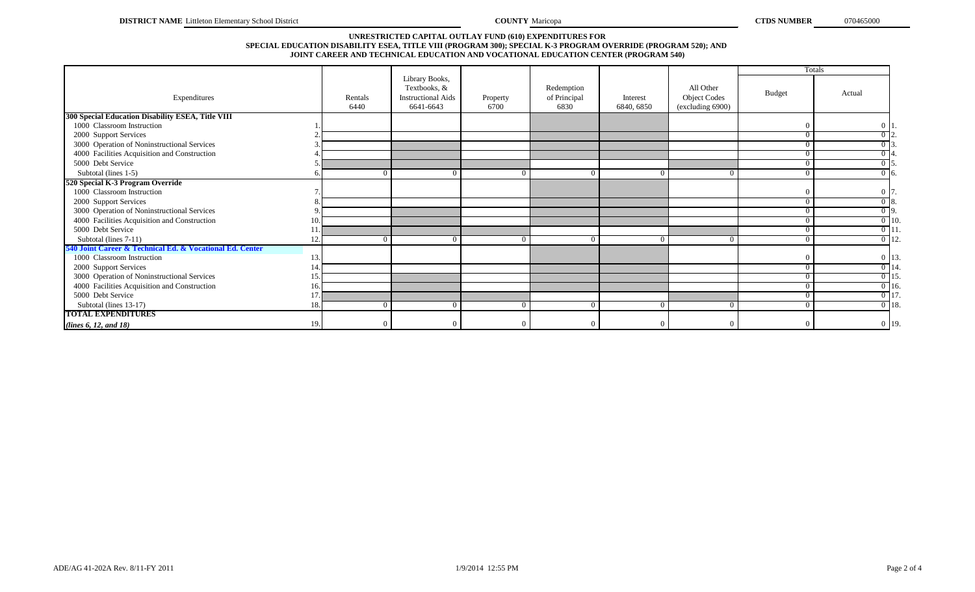#### **SPECIAL EDUCATION DISABILITY ESEA, TITLE VIII (PROGRAM 300); SPECIAL K-3 PROGRAM OVERRIDE (PROGRAM 520); AND JOINT CAREER AND TECHNICAL EDUCATION AND VOCATIONAL EDUCATION CENTER (PROGRAM 540) UNRESTRICTED CAPITAL OUTLAY FUND (610) EXPENDITURES FOR**

|                                                          |     |                 |                                                                          |                  |                                    |                        |                                                      |                | <b>Totals</b>     |
|----------------------------------------------------------|-----|-----------------|--------------------------------------------------------------------------|------------------|------------------------------------|------------------------|------------------------------------------------------|----------------|-------------------|
| Expenditures                                             |     | Rentals<br>6440 | Library Books,<br>Textbooks, &<br><b>Instructional Aids</b><br>6641-6643 | Property<br>6700 | Redemption<br>of Principal<br>6830 | Interest<br>6840, 6850 | All Other<br><b>Object Codes</b><br>(excluding 6900) | <b>Budget</b>  | Actual            |
| 300 Special Education Disability ESEA, Title VIII        |     |                 |                                                                          |                  |                                    |                        |                                                      |                |                   |
| 1000 Classroom Instruction                               |     |                 |                                                                          |                  |                                    |                        |                                                      | $\Omega$       | 0 1               |
| 2000 Support Services                                    |     |                 |                                                                          |                  |                                    |                        |                                                      | $\overline{0}$ | $\overline{0}$ 2. |
| 3000 Operation of Noninstructional Services              |     |                 |                                                                          |                  |                                    |                        |                                                      | $\Omega$       | $\overline{0}$ 3  |
| 4000 Facilities Acquisition and Construction             |     |                 |                                                                          |                  |                                    |                        |                                                      | $\Omega$       |                   |
| 5000 Debt Service                                        |     |                 |                                                                          |                  |                                    |                        |                                                      | $\overline{0}$ | $0\overline{5}$   |
| Subtotal (lines 1-5)                                     |     |                 |                                                                          | $\Omega$         |                                    |                        | $^{\circ}$                                           | $\overline{0}$ | $0\,6$            |
| 520 Special K-3 Program Override                         |     |                 |                                                                          |                  |                                    |                        |                                                      |                |                   |
| 1000 Classroom Instruction                               |     |                 |                                                                          |                  |                                    |                        |                                                      | $\Omega$       | $0\vert 7$        |
| 2000 Support Services                                    |     |                 |                                                                          |                  |                                    |                        |                                                      | $\Omega$       | $\overline{0}$ 8. |
| 3000 Operation of Noninstructional Services              |     |                 |                                                                          |                  |                                    |                        |                                                      | $\Omega$       | $\overline{0}$ 9. |
| 4000 Facilities Acquisition and Construction             | 10  |                 |                                                                          |                  |                                    |                        |                                                      | $\overline{0}$ | $0$ 10.           |
| 5000 Debt Service                                        |     |                 |                                                                          |                  |                                    |                        |                                                      | $\Omega$       | $0$ 11            |
| Subtotal (lines 7-11)                                    |     |                 |                                                                          | $\theta$         |                                    |                        |                                                      | $\Omega$       | $0$ 12.           |
| 540 Joint Career & Technical Ed. & Vocational Ed. Center |     |                 |                                                                          |                  |                                    |                        |                                                      |                |                   |
| 1000 Classroom Instruction                               |     |                 |                                                                          |                  |                                    |                        |                                                      | $\Omega$       | $0 \vert 13$      |
| 2000 Support Services                                    |     |                 |                                                                          |                  |                                    |                        |                                                      | $\Omega$       | $0$ 14            |
| 3000 Operation of Noninstructional Services              | 15  |                 |                                                                          |                  |                                    |                        |                                                      | $\overline{0}$ | $0$ 15            |
| 4000 Facilities Acquisition and Construction             | 16  |                 |                                                                          |                  |                                    |                        |                                                      | $\theta$       | $0 - 16$ .        |
| 5000 Debt Service                                        |     |                 |                                                                          |                  |                                    |                        |                                                      | $\Omega$       | $0$ 17            |
| Subtotal (lines 13-17)                                   | 18  |                 |                                                                          | $\Omega$         |                                    |                        | $^{\circ}$                                           | $\Omega$       | $0$ 18.           |
| <b>TOTAL EXPENDITURES</b>                                |     |                 |                                                                          |                  |                                    |                        |                                                      |                |                   |
| (lines 6, 12, and 18)                                    | 19. |                 |                                                                          | $\Omega$         |                                    |                        | $\Omega$                                             | $\Omega$       | $0$ 19.           |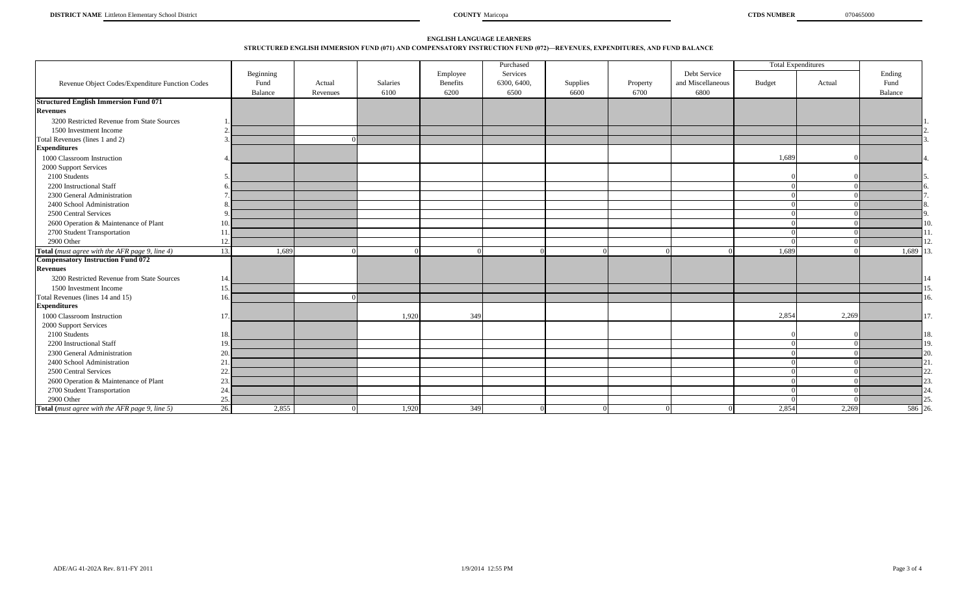### **ENGLISH LANGUAGE LEARNERS STRUCTURED ENGLISH IMMERSION FUND (071) AND COMPENSATORY INSTRUCTION FUND (072)—REVENUES, EXPENDITURES, AND FUND BALANCE**

|                                                       |              |          |          |          | Purchased   |                  |          |                   |        | <b>Total Expenditures</b> |         |
|-------------------------------------------------------|--------------|----------|----------|----------|-------------|------------------|----------|-------------------|--------|---------------------------|---------|
|                                                       | Beginning    |          |          | Employee | Services    |                  |          | Debt Service      |        |                           | Ending  |
| Revenue Object Codes/Expenditure Function Codes       | Fund         | Actual   | Salaries | Benefits | 6300, 6400, | Supplies<br>6600 | Property | and Miscellaneous | Budget | Actual                    | Fund    |
|                                                       | Balance      | Revenues | 6100     | 6200     | 6500        |                  | 6700     | 6800              |        |                           | Balance |
| <b>Structured English Immersion Fund 071</b>          |              |          |          |          |             |                  |          |                   |        |                           |         |
| <b>Revenues</b>                                       |              |          |          |          |             |                  |          |                   |        |                           |         |
| 3200 Restricted Revenue from State Sources            |              |          |          |          |             |                  |          |                   |        |                           |         |
| 1500 Investment Income                                |              |          |          |          |             |                  |          |                   |        |                           |         |
| Total Revenues (lines 1 and 2)                        |              |          |          |          |             |                  |          |                   |        |                           |         |
| <b>Expenditures</b>                                   |              |          |          |          |             |                  |          |                   |        |                           |         |
| 1000 Classroom Instruction                            |              |          |          |          |             |                  |          |                   | 1,689  |                           |         |
| 2000 Support Services                                 |              |          |          |          |             |                  |          |                   |        |                           |         |
| 2100 Students                                         |              |          |          |          |             |                  |          |                   |        |                           |         |
| 2200 Instructional Staff                              |              |          |          |          |             |                  |          |                   |        |                           |         |
| 2300 General Administration                           |              |          |          |          |             |                  |          |                   |        |                           |         |
| 2400 School Administration                            |              |          |          |          |             |                  |          |                   |        |                           |         |
| 2500 Central Services                                 | $\Omega$     |          |          |          |             |                  |          |                   |        |                           |         |
| 2600 Operation & Maintenance of Plant                 | 10.          |          |          |          |             |                  |          |                   |        |                           |         |
| 2700 Student Transportation                           |              |          |          |          |             |                  |          |                   |        |                           |         |
| 2900 Other                                            | 12.          |          |          |          |             |                  |          |                   |        |                           |         |
| Total (must agree with the AFR page 9, line 4)        | 13.<br>1,689 |          |          | $\Omega$ |             |                  |          | $\Omega$          | 1,689  |                           | 1,689   |
| <b>Compensatory Instruction Fund 072</b>              |              |          |          |          |             |                  |          |                   |        |                           |         |
| <b>Revenues</b>                                       |              |          |          |          |             |                  |          |                   |        |                           |         |
| 3200 Restricted Revenue from State Sources            | 14           |          |          |          |             |                  |          |                   |        |                           |         |
| 1500 Investment Income                                |              |          |          |          |             |                  |          |                   |        |                           |         |
| Total Revenues (lines 14 and 15)                      |              |          |          |          |             |                  |          |                   |        |                           |         |
| <b>Expenditures</b>                                   |              |          |          |          |             |                  |          |                   |        |                           |         |
| 1000 Classroom Instruction                            | 17           |          | 1,920    | 349      |             |                  |          |                   | 2,854  | 2,269                     | 17      |
| 2000 Support Services                                 |              |          |          |          |             |                  |          |                   |        |                           |         |
| 2100 Students                                         |              |          |          |          |             |                  |          |                   |        |                           | 18.     |
| 2200 Instructional Staff                              | 19.          |          |          |          |             |                  |          |                   |        |                           | 19      |
| 2300 General Administration                           | 20.          |          |          |          |             |                  |          |                   |        |                           | 20      |
| 2400 School Administration                            | 21.          |          |          |          |             |                  |          |                   |        |                           |         |
| 2500 Central Services                                 | 22.          |          |          |          |             |                  |          |                   |        |                           |         |
| 2600 Operation & Maintenance of Plant                 | 23.          |          |          |          |             |                  |          |                   |        |                           |         |
| 2700 Student Transportation                           | 24.          |          |          |          |             |                  |          |                   |        |                           |         |
| 2900 Other                                            | 25.          |          |          |          |             |                  |          |                   |        |                           |         |
| <b>Total</b> (must agree with the AFR page 9, line 5) | 26.<br>2,855 |          | 1,920    | 349      |             |                  |          |                   | 2,854  | 2,269                     | 586 26  |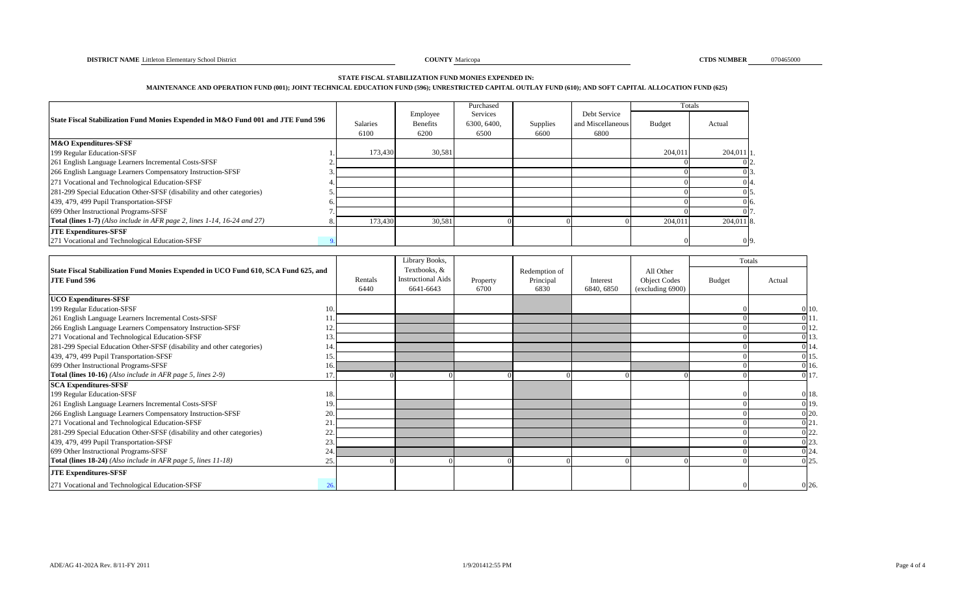#### **STATE FISCAL STABILIZATION FUND MONIES EXPENDED IN:**

#### **MAINTENANCE AND OPERATION FUND (001); JOINT TECHNICAL EDUCATION FUND (596); UNRESTRICTED CAPITAL OUTLAY FUND (610); AND SOFT CAPITAL ALLOCATION FUND (625)**

|                                                                                  |                 |          | Purchased   |          |                   |         | Totals      |
|----------------------------------------------------------------------------------|-----------------|----------|-------------|----------|-------------------|---------|-------------|
| State Fiscal Stabilization Fund Monies Expended in M&O Fund 001 and JTE Fund 596 |                 | Employee | Services    |          | Debt Service      |         |             |
|                                                                                  | <b>Salaries</b> | Benefits | 6300, 6400, | Supplies | and Miscellaneous | Budget  | Actual      |
|                                                                                  | 6100            | 6200     | 6500        | 6600     | 6800              |         |             |
| <b>M&amp;O</b> Expenditures-SFSF                                                 |                 |          |             |          |                   |         |             |
| 199 Regular Education-SFSF                                                       | 173,430         | 30,581   |             |          |                   | 204.011 | $204,011$ 1 |
| 261 English Language Learners Incremental Costs-SFSF                             |                 |          |             |          |                   |         | 02.         |
| 266 English Language Learners Compensatory Instruction-SFSF                      |                 |          |             |          |                   |         | $0\,3$ .    |
| 271 Vocational and Technological Education-SFSF                                  |                 |          |             |          |                   |         | 04.         |
| 281-299 Special Education Other-SFSF (disability and other categories)           |                 |          |             |          |                   |         | 015         |
| 439, 479, 499 Pupil Transportation-SFSF                                          |                 |          |             |          |                   |         | 0 6.        |
| 699 Other Instructional Programs-SFSF                                            |                 |          |             |          |                   |         | 017.        |
| Total (lines 1-7) (Also include in AFR page 2, lines 1-14, 16-24 and 27)         | 173,430         | 30,581   |             |          |                   | 204,011 | 204,011 8.  |
| <b>JTE Expenditures-SFSF</b>                                                     |                 |          |             |          |                   |         |             |
| 271 Vocational and Technological Education-SFSF                                  |                 |          |             |          |                   |         | 09.         |

|                                                                                                    |     |                 | Library Books,                                         |                  |                                    |                        |                                                      |        | Totals |              |
|----------------------------------------------------------------------------------------------------|-----|-----------------|--------------------------------------------------------|------------------|------------------------------------|------------------------|------------------------------------------------------|--------|--------|--------------|
| State Fiscal Stabilization Fund Monies Expended in UCO Fund 610, SCA Fund 625, and<br>JTE Fund 596 |     | Rentals<br>6440 | Textbooks, &<br><b>Instructional Aids</b><br>6641-6643 | Property<br>6700 | Redemption of<br>Principal<br>6830 | Interest<br>6840, 6850 | All Other<br><b>Object Codes</b><br>(excluding 6900) | Budget | Actual |              |
| <b>UCO Expenditures-SFSF</b>                                                                       |     |                 |                                                        |                  |                                    |                        |                                                      |        |        |              |
| 199 Regular Education-SFSF                                                                         |     |                 |                                                        |                  |                                    |                        |                                                      |        |        | $0\vert 10.$ |
| 261 English Language Learners Incremental Costs-SFSF                                               |     |                 |                                                        |                  |                                    |                        |                                                      |        |        | 011.         |
| 266 English Language Learners Compensatory Instruction-SFSF                                        |     |                 |                                                        |                  |                                    |                        |                                                      |        |        | 012.         |
| 271 Vocational and Technological Education-SFSF                                                    |     |                 |                                                        |                  |                                    |                        |                                                      |        |        | 0 13.        |
| 281-299 Special Education Other-SFSF (disability and other categories)                             |     |                 |                                                        |                  |                                    |                        |                                                      |        |        | 0 14.        |
| 439, 479, 499 Pupil Transportation-SFSF                                                            | 15  |                 |                                                        |                  |                                    |                        |                                                      |        |        | 015.         |
| 699 Other Instructional Programs-SFSF                                                              | 16. |                 |                                                        |                  |                                    |                        |                                                      |        |        | 0 16.        |
| Total (lines 10-16) (Also include in AFR page 5, lines 2-9)                                        |     |                 |                                                        |                  |                                    |                        |                                                      |        |        | 0 17.        |
| <b>SCA Expenditures-SFSF</b>                                                                       |     |                 |                                                        |                  |                                    |                        |                                                      |        |        |              |
| 199 Regular Education-SFSF                                                                         | 18. |                 |                                                        |                  |                                    |                        |                                                      |        |        | 0 18.        |
| 261 English Language Learners Incremental Costs-SFSF                                               | 19  |                 |                                                        |                  |                                    |                        |                                                      |        |        | 0 19.        |
| 266 English Language Learners Compensatory Instruction-SFSF                                        | 20  |                 |                                                        |                  |                                    |                        |                                                      |        |        | $0\vert 20.$ |
| 271 Vocational and Technological Education-SFSF                                                    |     |                 |                                                        |                  |                                    |                        |                                                      |        |        | 0 21.        |
| 281-299 Special Education Other-SFSF (disability and other categories)                             | 22  |                 |                                                        |                  |                                    |                        |                                                      |        |        | $0\,22.$     |
| 439, 479, 499 Pupil Transportation-SFSF                                                            |     |                 |                                                        |                  |                                    |                        |                                                      |        |        | $0\,23.$     |
| 699 Other Instructional Programs-SFSF                                                              | 24  |                 |                                                        |                  |                                    |                        |                                                      |        |        | 0 24.        |
| Total (lines 18-24) (Also include in AFR page 5, lines 11-18)                                      | 25. |                 |                                                        |                  |                                    |                        |                                                      |        |        | 025.         |
| <b>JTE Expenditures-SFSF</b>                                                                       |     |                 |                                                        |                  |                                    |                        |                                                      |        |        |              |
| 271 Vocational and Technological Education-SFSF                                                    | 26  |                 |                                                        |                  |                                    |                        |                                                      |        |        | 0 26.        |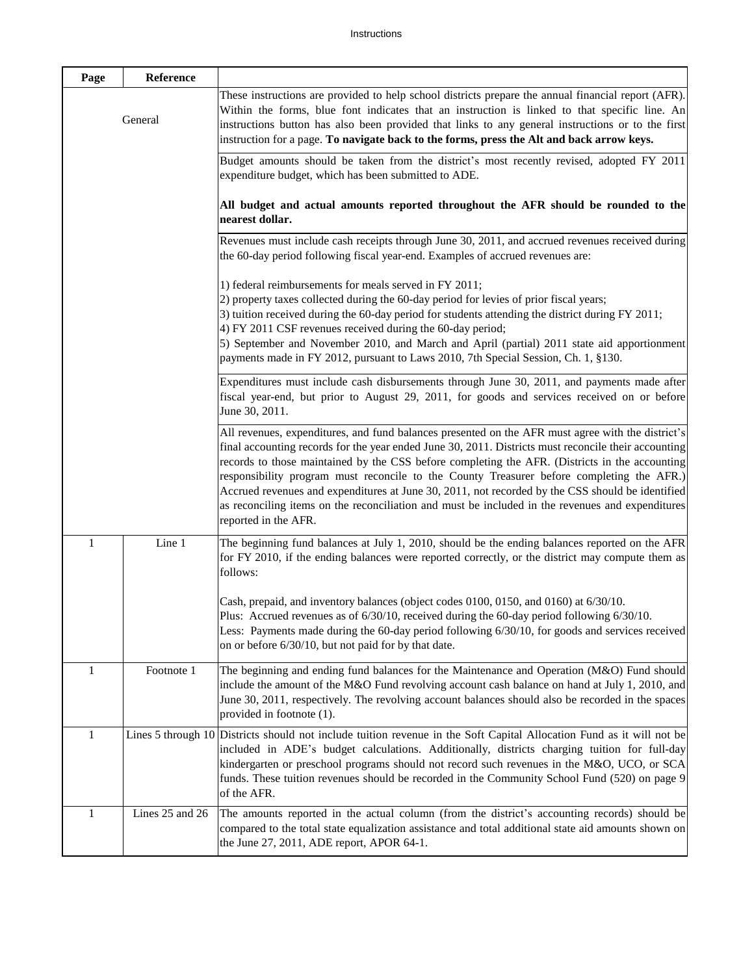| Page         | Reference          |                                                                                                                                                                                                                                                                                                                                                                                                                                                                                                                                                                                                                                          |
|--------------|--------------------|------------------------------------------------------------------------------------------------------------------------------------------------------------------------------------------------------------------------------------------------------------------------------------------------------------------------------------------------------------------------------------------------------------------------------------------------------------------------------------------------------------------------------------------------------------------------------------------------------------------------------------------|
|              | General            | These instructions are provided to help school districts prepare the annual financial report (AFR).<br>Within the forms, blue font indicates that an instruction is linked to that specific line. An<br>instructions button has also been provided that links to any general instructions or to the first<br>instruction for a page. To navigate back to the forms, press the Alt and back arrow keys.                                                                                                                                                                                                                                   |
|              |                    | Budget amounts should be taken from the district's most recently revised, adopted FY 2011<br>expenditure budget, which has been submitted to ADE.                                                                                                                                                                                                                                                                                                                                                                                                                                                                                        |
|              |                    | All budget and actual amounts reported throughout the AFR should be rounded to the<br>nearest dollar.                                                                                                                                                                                                                                                                                                                                                                                                                                                                                                                                    |
|              |                    | Revenues must include cash receipts through June 30, 2011, and accrued revenues received during<br>the 60-day period following fiscal year-end. Examples of accrued revenues are:                                                                                                                                                                                                                                                                                                                                                                                                                                                        |
|              |                    | 1) federal reimbursements for meals served in FY 2011;<br>2) property taxes collected during the 60-day period for levies of prior fiscal years;<br>3) tuition received during the 60-day period for students attending the district during FY 2011;<br>4) FY 2011 CSF revenues received during the 60-day period;<br>5) September and November 2010, and March and April (partial) 2011 state aid apportionment<br>payments made in FY 2012, pursuant to Laws 2010, 7th Special Session, Ch. 1, §130.                                                                                                                                   |
|              |                    | Expenditures must include cash disbursements through June 30, 2011, and payments made after<br>fiscal year-end, but prior to August 29, 2011, for goods and services received on or before<br>June 30, 2011.                                                                                                                                                                                                                                                                                                                                                                                                                             |
|              |                    | All revenues, expenditures, and fund balances presented on the AFR must agree with the district's<br>final accounting records for the year ended June 30, 2011. Districts must reconcile their accounting<br>records to those maintained by the CSS before completing the AFR. (Districts in the accounting<br>responsibility program must reconcile to the County Treasurer before completing the AFR.)<br>Accrued revenues and expenditures at June 30, 2011, not recorded by the CSS should be identified<br>as reconciling items on the reconciliation and must be included in the revenues and expenditures<br>reported in the AFR. |
| 1            | Line 1             | The beginning fund balances at July 1, 2010, should be the ending balances reported on the AFR<br>for FY 2010, if the ending balances were reported correctly, or the district may compute them as<br>follows:                                                                                                                                                                                                                                                                                                                                                                                                                           |
|              |                    | Cash, prepaid, and inventory balances (object codes 0100, 0150, and 0160) at 6/30/10.<br>Plus: Accrued revenues as of $6/30/10$ , received during the 60-day period following $6/30/10$ .<br>Less: Payments made during the 60-day period following 6/30/10, for goods and services received<br>on or before 6/30/10, but not paid for by that date.                                                                                                                                                                                                                                                                                     |
| $\mathbf{1}$ | Footnote 1         | The beginning and ending fund balances for the Maintenance and Operation (M&O) Fund should<br>include the amount of the M&O Fund revolving account cash balance on hand at July 1, 2010, and<br>June 30, 2011, respectively. The revolving account balances should also be recorded in the spaces<br>provided in footnote (1).                                                                                                                                                                                                                                                                                                           |
| 1            | Lines 5 through 10 | Districts should not include tuition revenue in the Soft Capital Allocation Fund as it will not be<br>included in ADE's budget calculations. Additionally, districts charging tuition for full-day<br>kindergarten or preschool programs should not record such revenues in the M&O, UCO, or SCA<br>funds. These tuition revenues should be recorded in the Community School Fund (520) on page 9<br>of the AFR.                                                                                                                                                                                                                         |
| $\mathbf{1}$ | Lines 25 and 26    | The amounts reported in the actual column (from the district's accounting records) should be<br>compared to the total state equalization assistance and total additional state aid amounts shown on<br>the June 27, 2011, ADE report, APOR 64-1.                                                                                                                                                                                                                                                                                                                                                                                         |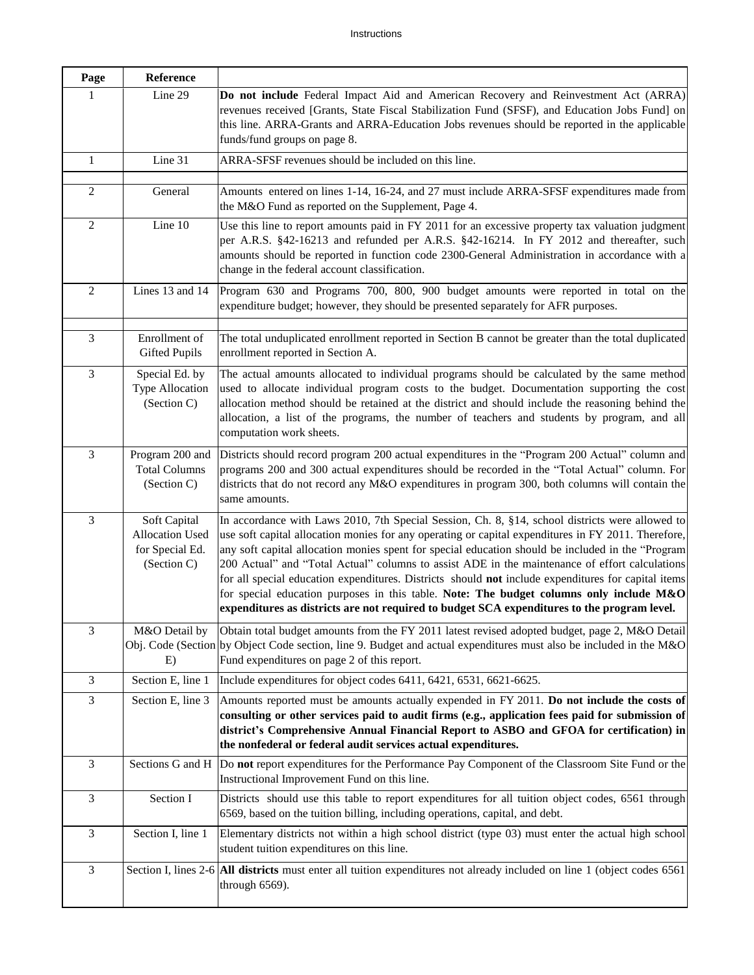| Page           | <b>Reference</b>                                                  |                                                                                                                                                                                                                                                                                                                                                                                                                                                                                                                                                                                                                                                                                                                  |
|----------------|-------------------------------------------------------------------|------------------------------------------------------------------------------------------------------------------------------------------------------------------------------------------------------------------------------------------------------------------------------------------------------------------------------------------------------------------------------------------------------------------------------------------------------------------------------------------------------------------------------------------------------------------------------------------------------------------------------------------------------------------------------------------------------------------|
| 1              | Line 29                                                           | Do not include Federal Impact Aid and American Recovery and Reinvestment Act (ARRA)<br>revenues received [Grants, State Fiscal Stabilization Fund (SFSF), and Education Jobs Fund] on<br>this line. ARRA-Grants and ARRA-Education Jobs revenues should be reported in the applicable<br>funds/fund groups on page 8.                                                                                                                                                                                                                                                                                                                                                                                            |
| $\mathbf{1}$   | Line 31                                                           | ARRA-SFSF revenues should be included on this line.                                                                                                                                                                                                                                                                                                                                                                                                                                                                                                                                                                                                                                                              |
| $\overline{2}$ | General                                                           | Amounts entered on lines 1-14, 16-24, and 27 must include ARRA-SFSF expenditures made from<br>the M&O Fund as reported on the Supplement, Page 4.                                                                                                                                                                                                                                                                                                                                                                                                                                                                                                                                                                |
| $\sqrt{2}$     | Line 10                                                           | Use this line to report amounts paid in FY 2011 for an excessive property tax valuation judgment<br>per A.R.S. §42-16213 and refunded per A.R.S. §42-16214. In FY 2012 and thereafter, such<br>amounts should be reported in function code 2300-General Administration in accordance with a<br>change in the federal account classification.                                                                                                                                                                                                                                                                                                                                                                     |
| $\overline{2}$ | Lines 13 and 14                                                   | Program 630 and Programs 700, 800, 900 budget amounts were reported in total on the<br>expenditure budget; however, they should be presented separately for AFR purposes.                                                                                                                                                                                                                                                                                                                                                                                                                                                                                                                                        |
| 3              | Enrollment of<br><b>Gifted Pupils</b>                             | The total unduplicated enrollment reported in Section B cannot be greater than the total duplicated<br>enrollment reported in Section A.                                                                                                                                                                                                                                                                                                                                                                                                                                                                                                                                                                         |
| 3              | Special Ed. by<br><b>Type Allocation</b><br>(Section C)           | The actual amounts allocated to individual programs should be calculated by the same method<br>used to allocate individual program costs to the budget. Documentation supporting the cost<br>allocation method should be retained at the district and should include the reasoning behind the<br>allocation, a list of the programs, the number of teachers and students by program, and all<br>computation work sheets.                                                                                                                                                                                                                                                                                         |
| 3              | Program 200 and<br><b>Total Columns</b><br>(Section C)            | Districts should record program 200 actual expenditures in the "Program 200 Actual" column and<br>programs 200 and 300 actual expenditures should be recorded in the "Total Actual" column. For<br>districts that do not record any M&O expenditures in program 300, both columns will contain the<br>same amounts.                                                                                                                                                                                                                                                                                                                                                                                              |
| 3              | Soft Capital<br>Allocation Used<br>for Special Ed.<br>(Section C) | In accordance with Laws 2010, 7th Special Session, Ch. 8, §14, school districts were allowed to<br>use soft capital allocation monies for any operating or capital expenditures in FY 2011. Therefore,<br>any soft capital allocation monies spent for special education should be included in the "Program<br>200 Actual" and "Total Actual" columns to assist ADE in the maintenance of effort calculations<br>for all special education expenditures. Districts should not include expenditures for capital items<br>for special education purposes in this table. Note: The budget columns only include $M&O$<br>expenditures as districts are not required to budget SCA expenditures to the program level. |
| 3              | M&O Detail by<br>E)                                               | Obtain total budget amounts from the FY 2011 latest revised adopted budget, page 2, M&O Detail<br>Obj. Code (Section by Object Code section, line 9. Budget and actual expenditures must also be included in the M&O<br>Fund expenditures on page 2 of this report.                                                                                                                                                                                                                                                                                                                                                                                                                                              |
| 3              | Section E, line 1                                                 | Include expenditures for object codes 6411, 6421, 6531, 6621-6625.                                                                                                                                                                                                                                                                                                                                                                                                                                                                                                                                                                                                                                               |
| 3              | Section E, line 3                                                 | Amounts reported must be amounts actually expended in FY 2011. Do not include the costs of<br>consulting or other services paid to audit firms (e.g., application fees paid for submission of<br>district's Comprehensive Annual Financial Report to ASBO and GFOA for certification) in<br>the nonfederal or federal audit services actual expenditures.                                                                                                                                                                                                                                                                                                                                                        |
| 3              | Sections G and H                                                  | Do not report expenditures for the Performance Pay Component of the Classroom Site Fund or the<br>Instructional Improvement Fund on this line.                                                                                                                                                                                                                                                                                                                                                                                                                                                                                                                                                                   |
| 3              | Section I                                                         | Districts should use this table to report expenditures for all tuition object codes, 6561 through<br>6569, based on the tuition billing, including operations, capital, and debt.                                                                                                                                                                                                                                                                                                                                                                                                                                                                                                                                |
| 3              | Section I, line 1                                                 | Elementary districts not within a high school district (type 03) must enter the actual high school<br>student tuition expenditures on this line.                                                                                                                                                                                                                                                                                                                                                                                                                                                                                                                                                                 |
| 3              |                                                                   | Section I, lines 2-6 All districts must enter all tuition expenditures not already included on line 1 (object codes 6561)<br>through 6569).                                                                                                                                                                                                                                                                                                                                                                                                                                                                                                                                                                      |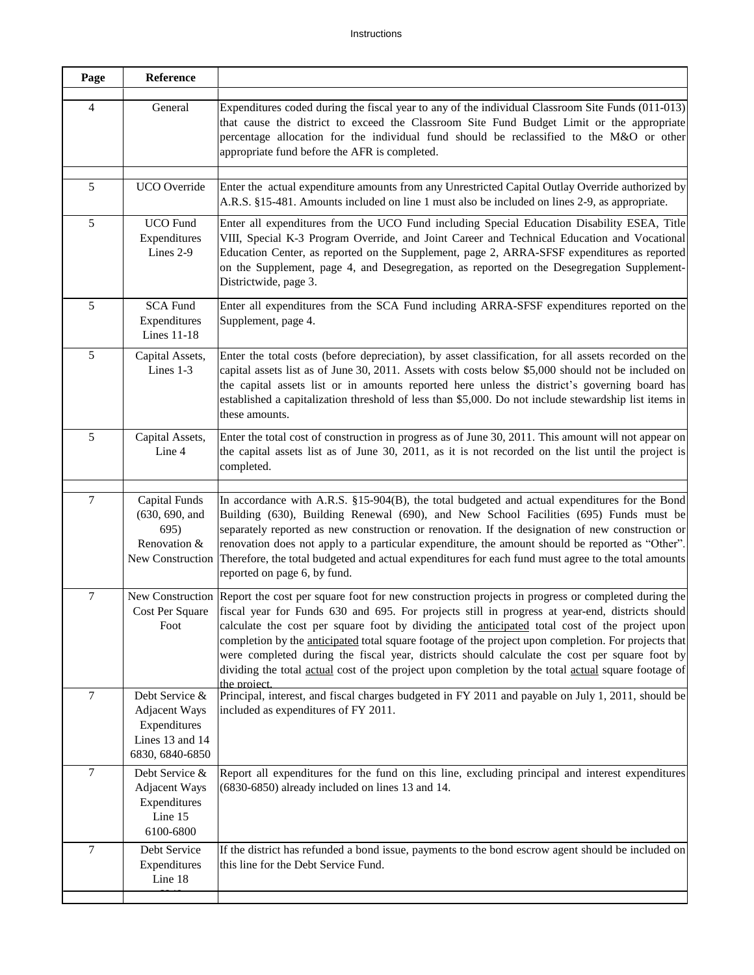| Page           | Reference                                                                             |                                                                                                                                                                                                                                                                                                                                                                                                                                                                                                                                                                                                                                                        |
|----------------|---------------------------------------------------------------------------------------|--------------------------------------------------------------------------------------------------------------------------------------------------------------------------------------------------------------------------------------------------------------------------------------------------------------------------------------------------------------------------------------------------------------------------------------------------------------------------------------------------------------------------------------------------------------------------------------------------------------------------------------------------------|
| 4              | General                                                                               | Expenditures coded during the fiscal year to any of the individual Classroom Site Funds (011-013)<br>that cause the district to exceed the Classroom Site Fund Budget Limit or the appropriate<br>percentage allocation for the individual fund should be reclassified to the M&O or other<br>appropriate fund before the AFR is completed.                                                                                                                                                                                                                                                                                                            |
| 5              | <b>UCO</b> Override                                                                   | Enter the actual expenditure amounts from any Unrestricted Capital Outlay Override authorized by<br>A.R.S. §15-481. Amounts included on line 1 must also be included on lines 2-9, as appropriate.                                                                                                                                                                                                                                                                                                                                                                                                                                                     |
| 5              | <b>UCO</b> Fund<br>Expenditures<br>Lines 2-9                                          | Enter all expenditures from the UCO Fund including Special Education Disability ESEA, Title<br>VIII, Special K-3 Program Override, and Joint Career and Technical Education and Vocational<br>Education Center, as reported on the Supplement, page 2, ARRA-SFSF expenditures as reported<br>on the Supplement, page 4, and Desegregation, as reported on the Desegregation Supplement-<br>Districtwide, page 3.                                                                                                                                                                                                                                       |
| 5              | <b>SCA Fund</b><br>Expenditures<br><b>Lines 11-18</b>                                 | Enter all expenditures from the SCA Fund including ARRA-SFSF expenditures reported on the<br>Supplement, page 4.                                                                                                                                                                                                                                                                                                                                                                                                                                                                                                                                       |
| 5              | Capital Assets,<br>Lines 1-3                                                          | Enter the total costs (before depreciation), by asset classification, for all assets recorded on the<br>capital assets list as of June 30, 2011. Assets with costs below \$5,000 should not be included on<br>the capital assets list or in amounts reported here unless the district's governing board has<br>established a capitalization threshold of less than \$5,000. Do not include stewardship list items in<br>these amounts.                                                                                                                                                                                                                 |
| 5              | Capital Assets,<br>Line 4                                                             | Enter the total cost of construction in progress as of June 30, 2011. This amount will not appear on<br>the capital assets list as of June 30, 2011, as it is not recorded on the list until the project is<br>completed.                                                                                                                                                                                                                                                                                                                                                                                                                              |
| $\tau$         | <b>Capital Funds</b><br>(630, 690, and<br>695)<br>Renovation &<br>New Construction    | In accordance with A.R.S. §15-904(B), the total budgeted and actual expenditures for the Bond<br>Building (630), Building Renewal (690), and New School Facilities (695) Funds must be<br>separately reported as new construction or renovation. If the designation of new construction or<br>renovation does not apply to a particular expenditure, the amount should be reported as "Other".<br>Therefore, the total budgeted and actual expenditures for each fund must agree to the total amounts<br>reported on page 6, by fund.                                                                                                                  |
| $\tau$         | Cost Per Square<br>Foot                                                               | New Construction Report the cost per square foot for new construction projects in progress or completed during the<br>fiscal year for Funds 630 and 695. For projects still in progress at year-end, districts should<br>calculate the cost per square foot by dividing the anticipated total cost of the project upon<br>completion by the anticipated total square footage of the project upon completion. For projects that<br>were completed during the fiscal year, districts should calculate the cost per square foot by<br>dividing the total actual cost of the project upon completion by the total actual square footage of<br>the project. |
| $\overline{7}$ | Debt Service &<br>Adjacent Ways<br>Expenditures<br>Lines 13 and 14<br>6830, 6840-6850 | Principal, interest, and fiscal charges budgeted in FY 2011 and payable on July 1, 2011, should be<br>included as expenditures of FY 2011.                                                                                                                                                                                                                                                                                                                                                                                                                                                                                                             |
| 7              | Debt Service &<br><b>Adjacent Ways</b><br>Expenditures<br>Line 15<br>6100-6800        | Report all expenditures for the fund on this line, excluding principal and interest expenditures<br>(6830-6850) already included on lines 13 and 14.                                                                                                                                                                                                                                                                                                                                                                                                                                                                                                   |
| $\tau$         | Debt Service<br>Expenditures<br>Line 18                                               | If the district has refunded a bond issue, payments to the bond escrow agent should be included on<br>this line for the Debt Service Fund.                                                                                                                                                                                                                                                                                                                                                                                                                                                                                                             |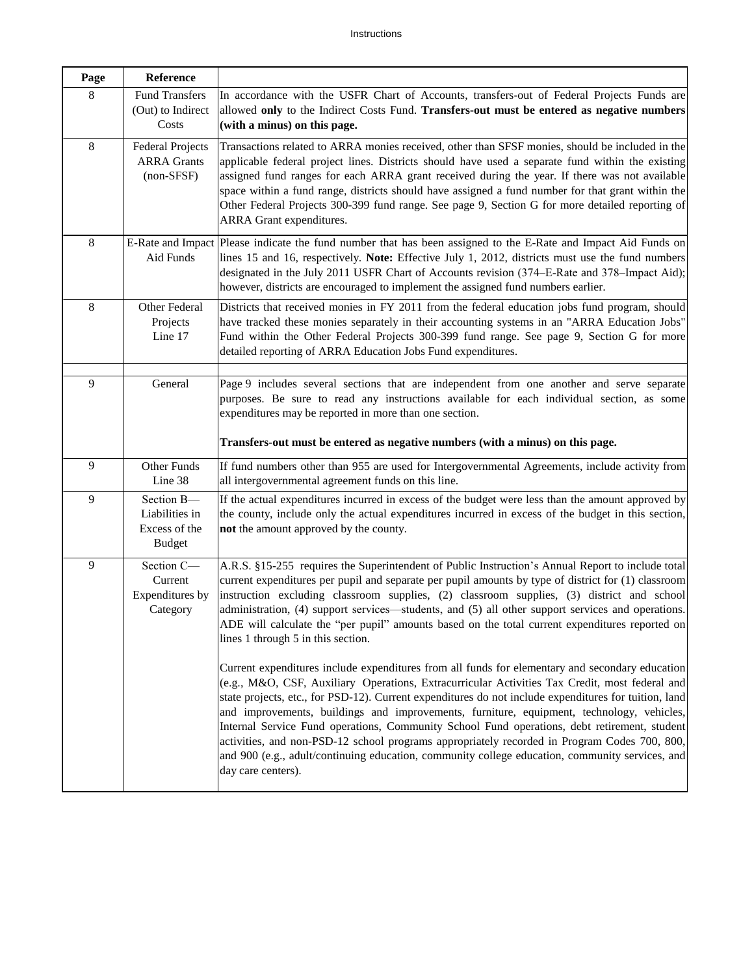| Page | Reference                                                      |                                                                                                                                                                                                                                                                                                                                                                                                                                                                                                                                                    |
|------|----------------------------------------------------------------|----------------------------------------------------------------------------------------------------------------------------------------------------------------------------------------------------------------------------------------------------------------------------------------------------------------------------------------------------------------------------------------------------------------------------------------------------------------------------------------------------------------------------------------------------|
| 8    | <b>Fund Transfers</b><br>(Out) to Indirect<br>Costs            | In accordance with the USFR Chart of Accounts, transfers-out of Federal Projects Funds are<br>allowed only to the Indirect Costs Fund. Transfers-out must be entered as negative numbers<br>(with a minus) on this page.                                                                                                                                                                                                                                                                                                                           |
| 8    | <b>Federal Projects</b><br><b>ARRA Grants</b><br>$(non-SFSF)$  | Transactions related to ARRA monies received, other than SFSF monies, should be included in the<br>applicable federal project lines. Districts should have used a separate fund within the existing<br>assigned fund ranges for each ARRA grant received during the year. If there was not available<br>space within a fund range, districts should have assigned a fund number for that grant within the<br>Other Federal Projects 300-399 fund range. See page 9, Section G for more detailed reporting of<br>ARRA Grant expenditures.           |
| 8    | E-Rate and Impact<br>Aid Funds                                 | Please indicate the fund number that has been assigned to the E-Rate and Impact Aid Funds on<br>lines 15 and 16, respectively. Note: Effective July 1, 2012, districts must use the fund numbers<br>designated in the July 2011 USFR Chart of Accounts revision (374–E-Rate and 378–Impact Aid);<br>however, districts are encouraged to implement the assigned fund numbers earlier.                                                                                                                                                              |
| 8    | Other Federal<br>Projects<br>Line 17                           | Districts that received monies in FY 2011 from the federal education jobs fund program, should<br>have tracked these monies separately in their accounting systems in an "ARRA Education Jobs"<br>Fund within the Other Federal Projects 300-399 fund range. See page 9, Section G for more<br>detailed reporting of ARRA Education Jobs Fund expenditures.                                                                                                                                                                                        |
| 9    | General                                                        | Page 9 includes several sections that are independent from one another and serve separate<br>purposes. Be sure to read any instructions available for each individual section, as some<br>expenditures may be reported in more than one section.                                                                                                                                                                                                                                                                                                   |
|      |                                                                | Transfers-out must be entered as negative numbers (with a minus) on this page.                                                                                                                                                                                                                                                                                                                                                                                                                                                                     |
| 9    | Other Funds<br>Line 38                                         | If fund numbers other than 955 are used for Intergovernmental Agreements, include activity from<br>all intergovernmental agreement funds on this line.                                                                                                                                                                                                                                                                                                                                                                                             |
| 9    | Section B-<br>Liabilities in<br>Excess of the<br><b>Budget</b> | If the actual expenditures incurred in excess of the budget were less than the amount approved by<br>the county, include only the actual expenditures incurred in excess of the budget in this section,<br>not the amount approved by the county.                                                                                                                                                                                                                                                                                                  |
| 9    | Section C-<br>Current<br>Expenditures by<br>Category           | A.R.S. §15-255 requires the Superintendent of Public Instruction's Annual Report to include total<br>current expenditures per pupil and separate per pupil amounts by type of district for (1) classroom<br>instruction excluding classroom supplies, (2) classroom supplies, (3) district and school<br>administration, (4) support services—students, and (5) all other support services and operations.<br>ADE will calculate the "per pupil" amounts based on the total current expenditures reported on<br>lines 1 through 5 in this section. |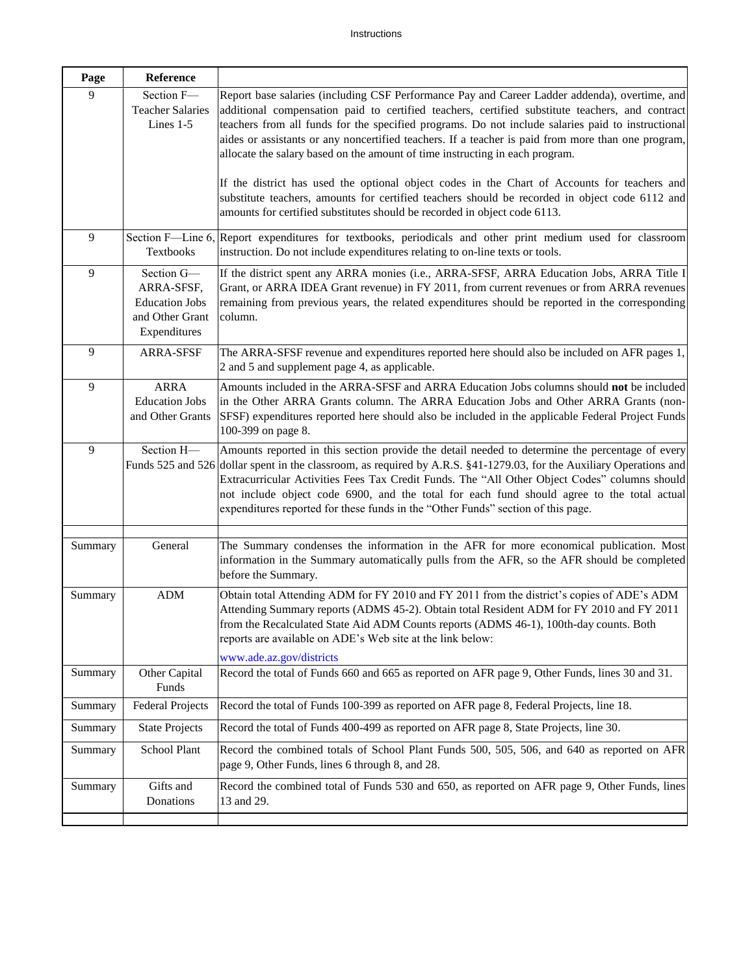| Page    | Reference                                                                            |                                                                                                                                                                                                                                                                                                                                                                                                                                                                                                                                                                                                                                                                                               |
|---------|--------------------------------------------------------------------------------------|-----------------------------------------------------------------------------------------------------------------------------------------------------------------------------------------------------------------------------------------------------------------------------------------------------------------------------------------------------------------------------------------------------------------------------------------------------------------------------------------------------------------------------------------------------------------------------------------------------------------------------------------------------------------------------------------------|
| 9       | Section F-<br><b>Teacher Salaries</b><br>Lines 1-5                                   | Report base salaries (including CSF Performance Pay and Career Ladder addenda), overtime, and<br>additional compensation paid to certified teachers, certified substitute teachers, and contract<br>teachers from all funds for the specified programs. Do not include salaries paid to instructional<br>aides or assistants or any noncertified teachers. If a teacher is paid from more than one program,<br>allocate the salary based on the amount of time instructing in each program.<br>If the district has used the optional object codes in the Chart of Accounts for teachers and<br>substitute teachers, amounts for certified teachers should be recorded in object code 6112 and |
|         |                                                                                      | amounts for certified substitutes should be recorded in object code 6113.                                                                                                                                                                                                                                                                                                                                                                                                                                                                                                                                                                                                                     |
| 9       | Textbooks                                                                            | Section F—Line 6, Report expenditures for textbooks, periodicals and other print medium used for classroom<br>instruction. Do not include expenditures relating to on-line texts or tools.                                                                                                                                                                                                                                                                                                                                                                                                                                                                                                    |
| 9       | Section G-<br>ARRA-SFSF,<br><b>Education Jobs</b><br>and Other Grant<br>Expenditures | If the district spent any ARRA monies (i.e., ARRA-SFSF, ARRA Education Jobs, ARRA Title I<br>Grant, or ARRA IDEA Grant revenue) in FY 2011, from current revenues or from ARRA revenues<br>remaining from previous years, the related expenditures should be reported in the corresponding<br>column.                                                                                                                                                                                                                                                                                                                                                                                         |
| 9       | <b>ARRA-SFSF</b>                                                                     | The ARRA-SFSF revenue and expenditures reported here should also be included on AFR pages 1,<br>2 and 5 and supplement page 4, as applicable.                                                                                                                                                                                                                                                                                                                                                                                                                                                                                                                                                 |
| 9       | <b>ARRA</b><br><b>Education Jobs</b><br>and Other Grants                             | Amounts included in the ARRA-SFSF and ARRA Education Jobs columns should not be included<br>in the Other ARRA Grants column. The ARRA Education Jobs and Other ARRA Grants (non-<br>SFSF) expenditures reported here should also be included in the applicable Federal Project Funds<br>100-399 on page 8.                                                                                                                                                                                                                                                                                                                                                                                    |
| 9       | Section H-                                                                           | Amounts reported in this section provide the detail needed to determine the percentage of every<br>Funds 525 and 526 dollar spent in the classroom, as required by A.R.S. §41-1279.03, for the Auxiliary Operations and<br>Extracurricular Activities Fees Tax Credit Funds. The "All Other Object Codes" columns should<br>not include object code 6900, and the total for each fund should agree to the total actual<br>expenditures reported for these funds in the "Other Funds" section of this page.                                                                                                                                                                                    |
| Summary | General                                                                              | The Summary condenses the information in the AFR for more economical publication. Most<br>information in the Summary automatically pulls from the AFR, so the AFR should be completed<br>before the Summary.                                                                                                                                                                                                                                                                                                                                                                                                                                                                                  |
| Summary | <b>ADM</b>                                                                           | Obtain total Attending ADM for FY 2010 and FY 2011 from the district's copies of ADE's ADM<br>Attending Summary reports (ADMS 45-2). Obtain total Resident ADM for FY 2010 and FY 2011<br>from the Recalculated State Aid ADM Counts reports (ADMS 46-1), 100th-day counts. Both<br>reports are available on ADE's Web site at the link below:<br>www.ade.az.gov/districts                                                                                                                                                                                                                                                                                                                    |
| Summary | Other Capital<br>Funds                                                               | Record the total of Funds 660 and 665 as reported on AFR page 9, Other Funds, lines 30 and 31.                                                                                                                                                                                                                                                                                                                                                                                                                                                                                                                                                                                                |
| Summary | <b>Federal Projects</b>                                                              | Record the total of Funds 100-399 as reported on AFR page 8, Federal Projects, line 18.                                                                                                                                                                                                                                                                                                                                                                                                                                                                                                                                                                                                       |
| Summary | <b>State Projects</b>                                                                | Record the total of Funds 400-499 as reported on AFR page 8, State Projects, line 30.                                                                                                                                                                                                                                                                                                                                                                                                                                                                                                                                                                                                         |
| Summary | School Plant                                                                         | Record the combined totals of School Plant Funds 500, 505, 506, and 640 as reported on AFR<br>page 9, Other Funds, lines 6 through 8, and 28.                                                                                                                                                                                                                                                                                                                                                                                                                                                                                                                                                 |
| Summary | Gifts and<br>Donations                                                               | Record the combined total of Funds 530 and 650, as reported on AFR page 9, Other Funds, lines<br>13 and 29.                                                                                                                                                                                                                                                                                                                                                                                                                                                                                                                                                                                   |
|         |                                                                                      |                                                                                                                                                                                                                                                                                                                                                                                                                                                                                                                                                                                                                                                                                               |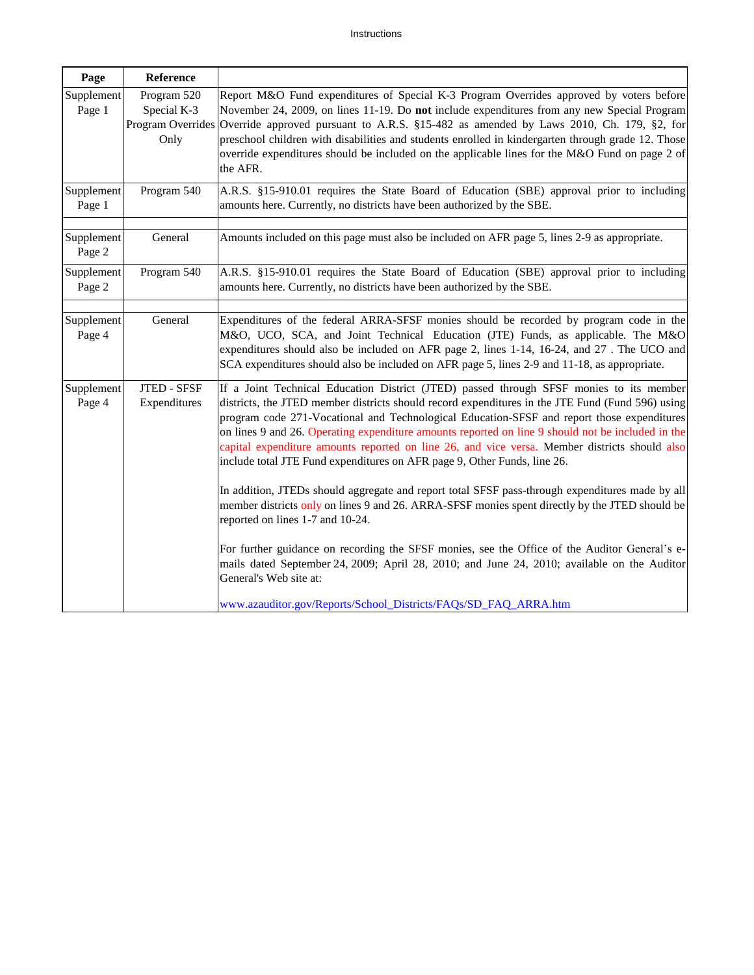| Page                 | Reference                                               |                                                                                                                                                                                                                                                                                                                                                                                                                                                                                                                                                                                                                                                                                                                                                                                                                                                                                                                                                                                                                                                |
|----------------------|---------------------------------------------------------|------------------------------------------------------------------------------------------------------------------------------------------------------------------------------------------------------------------------------------------------------------------------------------------------------------------------------------------------------------------------------------------------------------------------------------------------------------------------------------------------------------------------------------------------------------------------------------------------------------------------------------------------------------------------------------------------------------------------------------------------------------------------------------------------------------------------------------------------------------------------------------------------------------------------------------------------------------------------------------------------------------------------------------------------|
| Supplement<br>Page 1 | Program 520<br>Special K-3<br>Program Overrides<br>Only | Report M&O Fund expenditures of Special K-3 Program Overrides approved by voters before<br>November 24, 2009, on lines 11-19. Do not include expenditures from any new Special Program<br>Override approved pursuant to A.R.S. §15-482 as amended by Laws 2010, Ch. 179, §2, for<br>preschool children with disabilities and students enrolled in kindergarten through grade 12. Those<br>override expenditures should be included on the applicable lines for the M&O Fund on page 2 of<br>the AFR.                                                                                                                                                                                                                                                                                                                                                                                                                                                                                                                                           |
| Supplement<br>Page 1 | Program 540                                             | A.R.S. §15-910.01 requires the State Board of Education (SBE) approval prior to including<br>amounts here. Currently, no districts have been authorized by the SBE.                                                                                                                                                                                                                                                                                                                                                                                                                                                                                                                                                                                                                                                                                                                                                                                                                                                                            |
| Supplement<br>Page 2 | General                                                 | Amounts included on this page must also be included on AFR page 5, lines 2-9 as appropriate.                                                                                                                                                                                                                                                                                                                                                                                                                                                                                                                                                                                                                                                                                                                                                                                                                                                                                                                                                   |
| Supplement<br>Page 2 | Program 540                                             | A.R.S. §15-910.01 requires the State Board of Education (SBE) approval prior to including<br>amounts here. Currently, no districts have been authorized by the SBE.                                                                                                                                                                                                                                                                                                                                                                                                                                                                                                                                                                                                                                                                                                                                                                                                                                                                            |
| Supplement<br>Page 4 | General                                                 | Expenditures of the federal ARRA-SFSF monies should be recorded by program code in the<br>M&O, UCO, SCA, and Joint Technical Education (JTE) Funds, as applicable. The M&O<br>expenditures should also be included on AFR page 2, lines 1-14, 16-24, and 27. The UCO and<br>SCA expenditures should also be included on AFR page 5, lines 2-9 and 11-18, as appropriate.                                                                                                                                                                                                                                                                                                                                                                                                                                                                                                                                                                                                                                                                       |
| Supplement<br>Page 4 | <b>JTED - SFSF</b><br>Expenditures                      | If a Joint Technical Education District (JTED) passed through SFSF monies to its member<br>districts, the JTED member districts should record expenditures in the JTE Fund (Fund 596) using<br>program code 271-Vocational and Technological Education-SFSF and report those expenditures<br>on lines 9 and 26. Operating expenditure amounts reported on line 9 should not be included in the<br>capital expenditure amounts reported on line 26, and vice versa. Member districts should also<br>include total JTE Fund expenditures on AFR page 9, Other Funds, line 26.<br>In addition, JTEDs should aggregate and report total SFSF pass-through expenditures made by all<br>member districts only on lines 9 and 26. ARRA-SFSF monies spent directly by the JTED should be<br>reported on lines 1-7 and 10-24.<br>For further guidance on recording the SFSF monies, see the Office of the Auditor General's e-<br>mails dated September 24, 2009; April 28, 2010; and June 24, 2010; available on the Auditor<br>General's Web site at: |
|                      |                                                         | www.azauditor.gov/Reports/School_Districts/FAQs/SD_FAQ_ARRA.htm                                                                                                                                                                                                                                                                                                                                                                                                                                                                                                                                                                                                                                                                                                                                                                                                                                                                                                                                                                                |